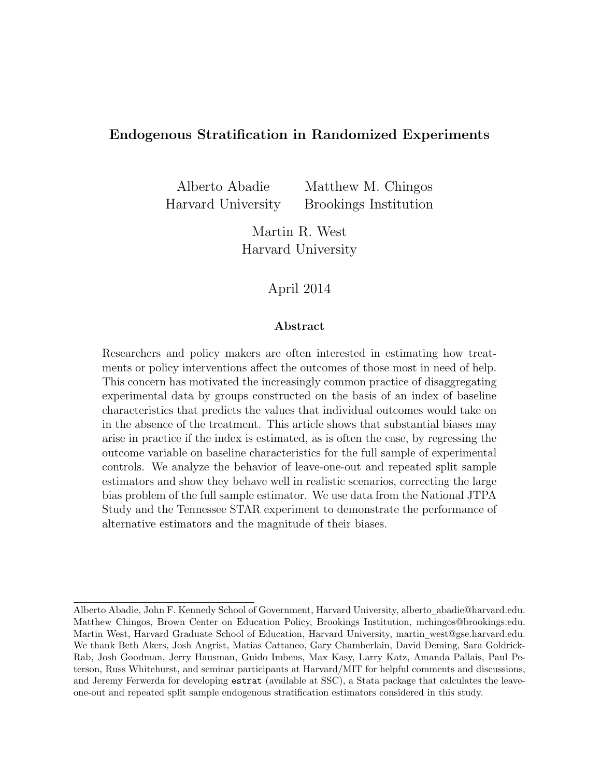# Endogenous Stratification in Randomized Experiments

Alberto Abadie Matthew M. Chingos Harvard University Brookings Institution

> Martin R. West Harvard University

# April 2014

## Abstract

Researchers and policy makers are often interested in estimating how treatments or policy interventions affect the outcomes of those most in need of help. This concern has motivated the increasingly common practice of disaggregating experimental data by groups constructed on the basis of an index of baseline characteristics that predicts the values that individual outcomes would take on in the absence of the treatment. This article shows that substantial biases may arise in practice if the index is estimated, as is often the case, by regressing the outcome variable on baseline characteristics for the full sample of experimental controls. We analyze the behavior of leave-one-out and repeated split sample estimators and show they behave well in realistic scenarios, correcting the large bias problem of the full sample estimator. We use data from the National JTPA Study and the Tennessee STAR experiment to demonstrate the performance of alternative estimators and the magnitude of their biases.

Alberto Abadie, John F. Kennedy School of Government, Harvard University, alberto abadie@harvard.edu. Matthew Chingos, Brown Center on Education Policy, Brookings Institution, mchingos@brookings.edu. Martin West, Harvard Graduate School of Education, Harvard University, martin west@gse.harvard.edu. We thank Beth Akers, Josh Angrist, Matias Cattaneo, Gary Chamberlain, David Deming, Sara Goldrick-Rab, Josh Goodman, Jerry Hausman, Guido Imbens, Max Kasy, Larry Katz, Amanda Pallais, Paul Peterson, Russ Whitehurst, and seminar participants at Harvard/MIT for helpful comments and discussions, and Jeremy Ferwerda for developing estrat (available at SSC), a Stata package that calculates the leaveone-out and repeated split sample endogenous stratification estimators considered in this study.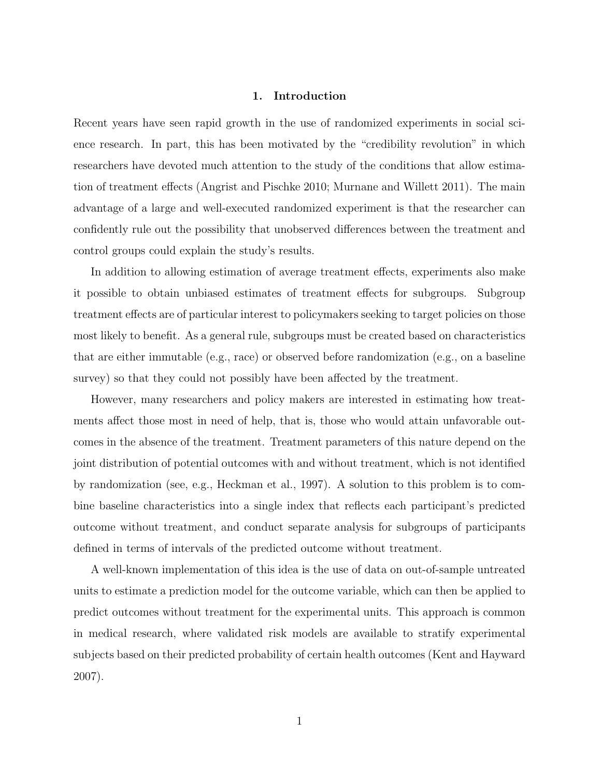### 1. Introduction

Recent years have seen rapid growth in the use of randomized experiments in social science research. In part, this has been motivated by the "credibility revolution" in which researchers have devoted much attention to the study of the conditions that allow estimation of treatment effects (Angrist and Pischke 2010; Murnane and Willett 2011). The main advantage of a large and well-executed randomized experiment is that the researcher can confidently rule out the possibility that unobserved differences between the treatment and control groups could explain the study's results.

In addition to allowing estimation of average treatment effects, experiments also make it possible to obtain unbiased estimates of treatment effects for subgroups. Subgroup treatment effects are of particular interest to policymakers seeking to target policies on those most likely to benefit. As a general rule, subgroups must be created based on characteristics that are either immutable (e.g., race) or observed before randomization (e.g., on a baseline survey) so that they could not possibly have been affected by the treatment.

However, many researchers and policy makers are interested in estimating how treatments affect those most in need of help, that is, those who would attain unfavorable outcomes in the absence of the treatment. Treatment parameters of this nature depend on the joint distribution of potential outcomes with and without treatment, which is not identified by randomization (see, e.g., Heckman et al., 1997). A solution to this problem is to combine baseline characteristics into a single index that reflects each participant's predicted outcome without treatment, and conduct separate analysis for subgroups of participants defined in terms of intervals of the predicted outcome without treatment.

A well-known implementation of this idea is the use of data on out-of-sample untreated units to estimate a prediction model for the outcome variable, which can then be applied to predict outcomes without treatment for the experimental units. This approach is common in medical research, where validated risk models are available to stratify experimental subjects based on their predicted probability of certain health outcomes (Kent and Hayward 2007).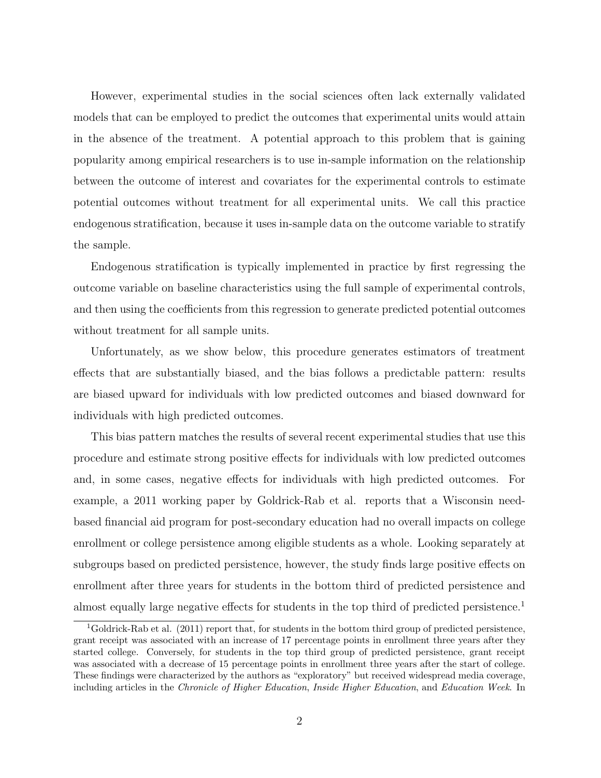However, experimental studies in the social sciences often lack externally validated models that can be employed to predict the outcomes that experimental units would attain in the absence of the treatment. A potential approach to this problem that is gaining popularity among empirical researchers is to use in-sample information on the relationship between the outcome of interest and covariates for the experimental controls to estimate potential outcomes without treatment for all experimental units. We call this practice endogenous stratification, because it uses in-sample data on the outcome variable to stratify the sample.

Endogenous stratification is typically implemented in practice by first regressing the outcome variable on baseline characteristics using the full sample of experimental controls, and then using the coefficients from this regression to generate predicted potential outcomes without treatment for all sample units.

Unfortunately, as we show below, this procedure generates estimators of treatment effects that are substantially biased, and the bias follows a predictable pattern: results are biased upward for individuals with low predicted outcomes and biased downward for individuals with high predicted outcomes.

This bias pattern matches the results of several recent experimental studies that use this procedure and estimate strong positive effects for individuals with low predicted outcomes and, in some cases, negative effects for individuals with high predicted outcomes. For example, a 2011 working paper by Goldrick-Rab et al. reports that a Wisconsin needbased financial aid program for post-secondary education had no overall impacts on college enrollment or college persistence among eligible students as a whole. Looking separately at subgroups based on predicted persistence, however, the study finds large positive effects on enrollment after three years for students in the bottom third of predicted persistence and almost equally large negative effects for students in the top third of predicted persistence.<sup>1</sup>

<sup>1</sup>Goldrick-Rab et al. (2011) report that, for students in the bottom third group of predicted persistence, grant receipt was associated with an increase of 17 percentage points in enrollment three years after they started college. Conversely, for students in the top third group of predicted persistence, grant receipt was associated with a decrease of 15 percentage points in enrollment three years after the start of college. These findings were characterized by the authors as "exploratory" but received widespread media coverage, including articles in the Chronicle of Higher Education, Inside Higher Education, and Education Week. In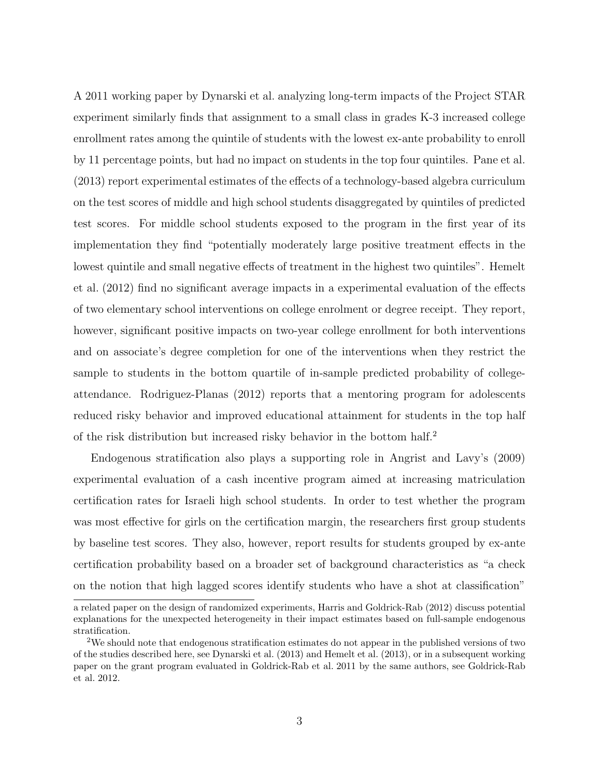A 2011 working paper by Dynarski et al. analyzing long-term impacts of the Project STAR experiment similarly finds that assignment to a small class in grades K-3 increased college enrollment rates among the quintile of students with the lowest ex-ante probability to enroll by 11 percentage points, but had no impact on students in the top four quintiles. Pane et al. (2013) report experimental estimates of the effects of a technology-based algebra curriculum on the test scores of middle and high school students disaggregated by quintiles of predicted test scores. For middle school students exposed to the program in the first year of its implementation they find "potentially moderately large positive treatment effects in the lowest quintile and small negative effects of treatment in the highest two quintiles". Hemelt et al. (2012) find no significant average impacts in a experimental evaluation of the effects of two elementary school interventions on college enrolment or degree receipt. They report, however, significant positive impacts on two-year college enrollment for both interventions and on associate's degree completion for one of the interventions when they restrict the sample to students in the bottom quartile of in-sample predicted probability of collegeattendance. Rodriguez-Planas (2012) reports that a mentoring program for adolescents reduced risky behavior and improved educational attainment for students in the top half of the risk distribution but increased risky behavior in the bottom half.<sup>2</sup>

Endogenous stratification also plays a supporting role in Angrist and Lavy's (2009) experimental evaluation of a cash incentive program aimed at increasing matriculation certification rates for Israeli high school students. In order to test whether the program was most effective for girls on the certification margin, the researchers first group students by baseline test scores. They also, however, report results for students grouped by ex-ante certification probability based on a broader set of background characteristics as "a check on the notion that high lagged scores identify students who have a shot at classification"

a related paper on the design of randomized experiments, Harris and Goldrick-Rab (2012) discuss potential explanations for the unexpected heterogeneity in their impact estimates based on full-sample endogenous stratification.

<sup>2</sup>We should note that endogenous stratification estimates do not appear in the published versions of two of the studies described here, see Dynarski et al. (2013) and Hemelt et al. (2013), or in a subsequent working paper on the grant program evaluated in Goldrick-Rab et al. 2011 by the same authors, see Goldrick-Rab et al. 2012.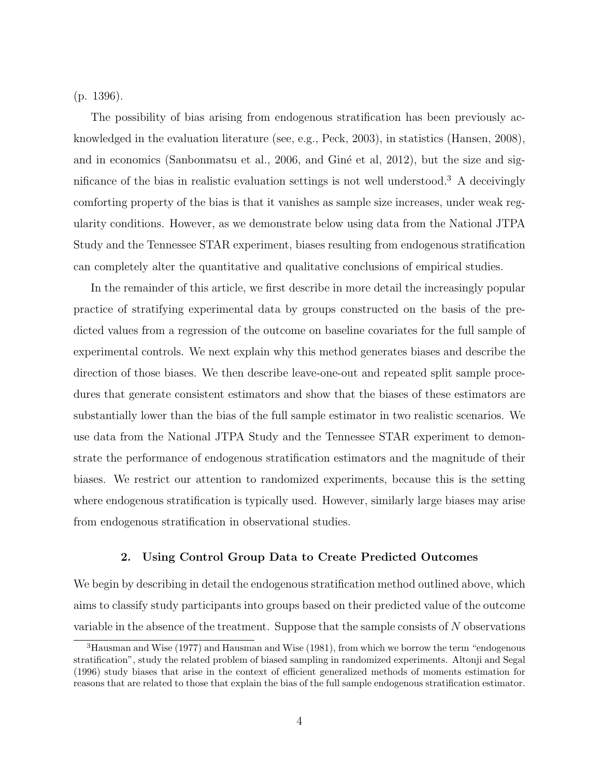(p. 1396).

The possibility of bias arising from endogenous stratification has been previously acknowledged in the evaluation literature (see, e.g., Peck, 2003), in statistics (Hansen, 2008), and in economics (Sanbonmatsu et al., 2006, and Giné et al, 2012), but the size and significance of the bias in realistic evaluation settings is not well understood.<sup>3</sup> A deceivingly comforting property of the bias is that it vanishes as sample size increases, under weak regularity conditions. However, as we demonstrate below using data from the National JTPA Study and the Tennessee STAR experiment, biases resulting from endogenous stratification can completely alter the quantitative and qualitative conclusions of empirical studies.

In the remainder of this article, we first describe in more detail the increasingly popular practice of stratifying experimental data by groups constructed on the basis of the predicted values from a regression of the outcome on baseline covariates for the full sample of experimental controls. We next explain why this method generates biases and describe the direction of those biases. We then describe leave-one-out and repeated split sample procedures that generate consistent estimators and show that the biases of these estimators are substantially lower than the bias of the full sample estimator in two realistic scenarios. We use data from the National JTPA Study and the Tennessee STAR experiment to demonstrate the performance of endogenous stratification estimators and the magnitude of their biases. We restrict our attention to randomized experiments, because this is the setting where endogenous stratification is typically used. However, similarly large biases may arise from endogenous stratification in observational studies.

### 2. Using Control Group Data to Create Predicted Outcomes

We begin by describing in detail the endogenous stratification method outlined above, which aims to classify study participants into groups based on their predicted value of the outcome variable in the absence of the treatment. Suppose that the sample consists of N observations

<sup>3</sup>Hausman and Wise (1977) and Hausman and Wise (1981), from which we borrow the term "endogenous stratification", study the related problem of biased sampling in randomized experiments. Altonji and Segal (1996) study biases that arise in the context of efficient generalized methods of moments estimation for reasons that are related to those that explain the bias of the full sample endogenous stratification estimator.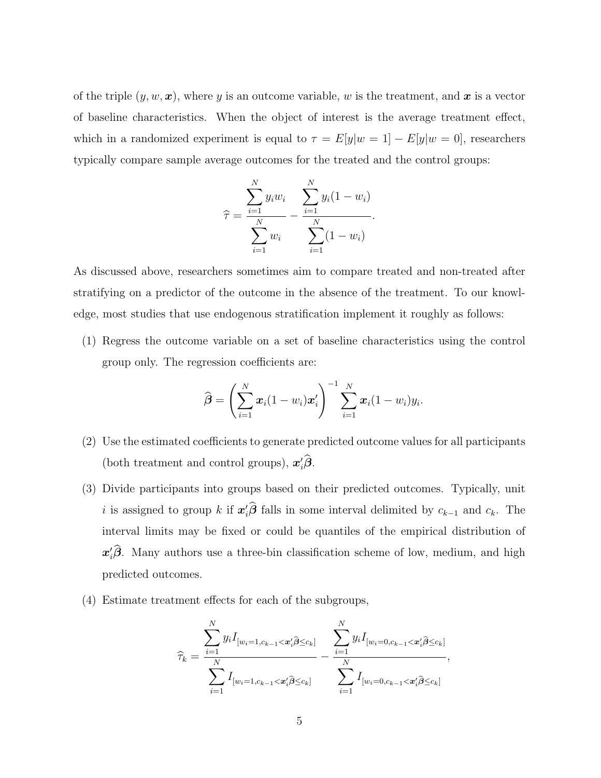of the triple  $(y, w, x)$ , where y is an outcome variable, w is the treatment, and x is a vector of baseline characteristics. When the object of interest is the average treatment effect, which in a randomized experiment is equal to  $\tau = E[y|w = 1] - E[y|w = 0]$ , researchers typically compare sample average outcomes for the treated and the control groups:

$$
\widehat{\tau} = \frac{\sum_{i=1}^{N} y_i w_i}{\sum_{i=1}^{N} w_i} - \frac{\sum_{i=1}^{N} y_i (1 - w_i)}{\sum_{i=1}^{N} (1 - w_i)}.
$$

As discussed above, researchers sometimes aim to compare treated and non-treated after stratifying on a predictor of the outcome in the absence of the treatment. To our knowledge, most studies that use endogenous stratification implement it roughly as follows:

(1) Regress the outcome variable on a set of baseline characteristics using the control group only. The regression coefficients are:

$$
\widehat{\boldsymbol{\beta}} = \left(\sum_{i=1}^N \boldsymbol{x}_i (1-w_i) \boldsymbol{x}_i'\right)^{-1} \sum_{i=1}^N \boldsymbol{x}_i (1-w_i) y_i.
$$

- (2) Use the estimated coefficients to generate predicted outcome values for all participants (both treatment and control groups),  $x_i' \hat{\beta}$ .
- (3) Divide participants into groups based on their predicted outcomes. Typically, unit i is assigned to group k if  $x_i' \hat{\beta}$  falls in some interval delimited by  $c_{k-1}$  and  $c_k$ . The interval limits may be fixed or could be quantiles of the empirical distribution of  $x_i' \hat{\boldsymbol{\beta}}$ . Many authors use a three-bin classification scheme of low, medium, and high predicted outcomes.
- (4) Estimate treatment effects for each of the subgroups,

$$
\widehat{\tau}_k = \frac{\sum_{i=1}^N y_i I_{[w_i=1,c_{k-1} < \mathbf{x}'_i \widehat{\beta} \leq c_k]}}{\sum_{i=1}^N I_{[w_i=1,c_{k-1} < \mathbf{x}'_i \widehat{\beta} \leq c_k]}} - \frac{\sum_{i=1}^N y_i I_{[w_i=0,c_{k-1} < \mathbf{x}'_i \widehat{\beta} \leq c_k]}}{\sum_{i=1}^N I_{[w_i=0,c_{k-1} < \mathbf{x}'_i \widehat{\beta} \leq c_k]}},
$$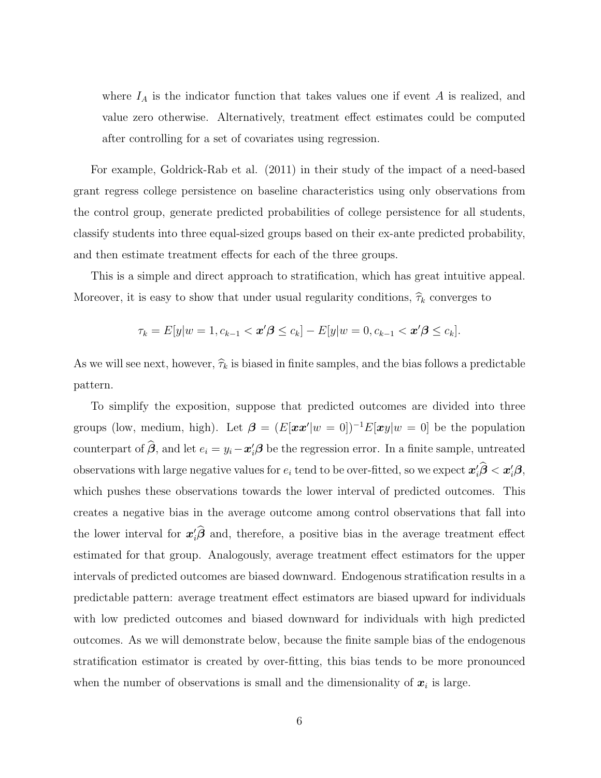where  $I_A$  is the indicator function that takes values one if event A is realized, and value zero otherwise. Alternatively, treatment effect estimates could be computed after controlling for a set of covariates using regression.

For example, Goldrick-Rab et al. (2011) in their study of the impact of a need-based grant regress college persistence on baseline characteristics using only observations from the control group, generate predicted probabilities of college persistence for all students, classify students into three equal-sized groups based on their ex-ante predicted probability, and then estimate treatment effects for each of the three groups.

This is a simple and direct approach to stratification, which has great intuitive appeal. Moreover, it is easy to show that under usual regularity conditions,  $\hat{\tau}_k$  converges to

$$
\tau_k = E[y|w = 1, c_{k-1} < \mathbf{x'}\mathbf{\beta} \le c_k] - E[y|w = 0, c_{k-1} < \mathbf{x'}\mathbf{\beta} \le c_k].
$$

As we will see next, however,  $\hat{\tau}_k$  is biased in finite samples, and the bias follows a predictable pattern.

To simplify the exposition, suppose that predicted outcomes are divided into three groups (low, medium, high). Let  $\boldsymbol{\beta} = (E[\boldsymbol{x}\boldsymbol{x}']w = 0]^{-1}E[\boldsymbol{x}y]w = 0$  be the population counterpart of  $\hat{\beta}$ , and let  $e_i = y_i - x'_i \beta$  be the regression error. In a finite sample, untreated observations with large negative values for  $e_i$  tend to be over-fitted, so we expect  $\bm{x}_i' \hat{\bm{\beta}} < \bm{x}_i' \bm{\beta}$ , which pushes these observations towards the lower interval of predicted outcomes. This creates a negative bias in the average outcome among control observations that fall into the lower interval for  $x_i' \hat{\boldsymbol{\beta}}$  and, therefore, a positive bias in the average treatment effect estimated for that group. Analogously, average treatment effect estimators for the upper intervals of predicted outcomes are biased downward. Endogenous stratification results in a predictable pattern: average treatment effect estimators are biased upward for individuals with low predicted outcomes and biased downward for individuals with high predicted outcomes. As we will demonstrate below, because the finite sample bias of the endogenous stratification estimator is created by over-fitting, this bias tends to be more pronounced when the number of observations is small and the dimensionality of  $x_i$  is large.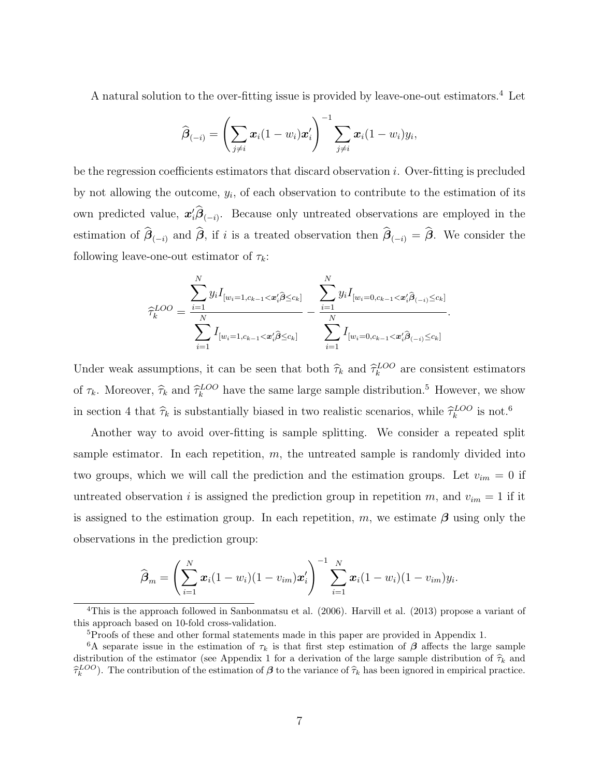A natural solution to the over-fitting issue is provided by leave-one-out estimators.<sup>4</sup> Let

$$
\widehat{\boldsymbol{\beta}}_{(-i)} = \left(\sum_{j\neq i} \boldsymbol{x}_i (1-w_i) \boldsymbol{x}_i'\right)^{-1} \sum_{j\neq i} \boldsymbol{x}_i (1-w_i) y_i,
$$

be the regression coefficients estimators that discard observation  $i$ . Over-fitting is precluded by not allowing the outcome,  $y_i$ , of each observation to contribute to the estimation of its own predicted value,  $x_i^j \hat{\beta}_{(-i)}$ . Because only untreated observations are employed in the estimation of  $\beta_{(-i)}$  and  $\beta$ , if i is a treated observation then  $\beta_{(-i)} = \beta$ . We consider the following leave-one-out estimator of  $\tau_k$ :

$$
\widehat{\tau}_{k}^{LOO} = \frac{\sum_{i=1}^{N} y_{i} I_{[w_{i}=1,c_{k-1} < \boldsymbol{x}_{i}^{\prime} \widehat{\boldsymbol{\beta}} \leq c_{k}]} }{\sum_{i=1}^{N} I_{[w_{i}=1,c_{k-1} < \boldsymbol{x}_{i}^{\prime} \widehat{\boldsymbol{\beta}} \leq c_{k}]} } - \frac{\sum_{i=1}^{N} y_{i} I_{[w_{i}=0,c_{k-1} < \boldsymbol{x}_{i}^{\prime} \widehat{\boldsymbol{\beta}}_{(-i)} \leq c_{k}]} }{\sum_{i=1}^{N} I_{[w_{i}=0,c_{k-1} < \boldsymbol{x}_{i}^{\prime} \widehat{\boldsymbol{\beta}}_{(-i)} \leq c_{k}]}}
$$

.

Under weak assumptions, it can be seen that both  $\hat{\tau}_k$  and  $\hat{\tau}_k^{LOO}$  are consistent estimators of  $\tau_k$ . Moreover,  $\hat{\tau}_k$  and  $\hat{\tau}_k^{LOO}$  have the same large sample distribution.<sup>5</sup> However, we show in section 4 that  $\hat{\tau}_k$  is substantially biased in two realistic scenarios, while  $\hat{\tau}_k^{LOO}$  is not.<sup>6</sup>

Another way to avoid over-fitting is sample splitting. We consider a repeated split sample estimator. In each repetition,  $m$ , the untreated sample is randomly divided into two groups, which we will call the prediction and the estimation groups. Let  $v_{im} = 0$  if untreated observation i is assigned the prediction group in repetition  $m$ , and  $v_{im} = 1$  if it is assigned to the estimation group. In each repetition, m, we estimate  $\beta$  using only the observations in the prediction group:

$$
\widehat{\boldsymbol{\beta}}_m = \left(\sum_{i=1}^N \boldsymbol{x}_i (1-w_i)(1-v_{im})\boldsymbol{x}_i'\right)^{-1} \sum_{i=1}^N \boldsymbol{x}_i (1-w_i)(1-v_{im})y_i.
$$

<sup>4</sup>This is the approach followed in Sanbonmatsu et al. (2006). Harvill et al. (2013) propose a variant of this approach based on 10-fold cross-validation.

<sup>5</sup>Proofs of these and other formal statements made in this paper are provided in Appendix 1.

<sup>&</sup>lt;sup>6</sup>A separate issue in the estimation of  $\tau_k$  is that first step estimation of  $\beta$  affects the large sample distribution of the estimator (see Appendix 1 for a derivation of the large sample distribution of  $\hat{\tau}_k$  and  $\hat{\tau}_k^{LOO}$ ). The contribution of the estimation of  $\beta$  to the variance of  $\hat{\tau}_k$  has been ignored in empirical practice.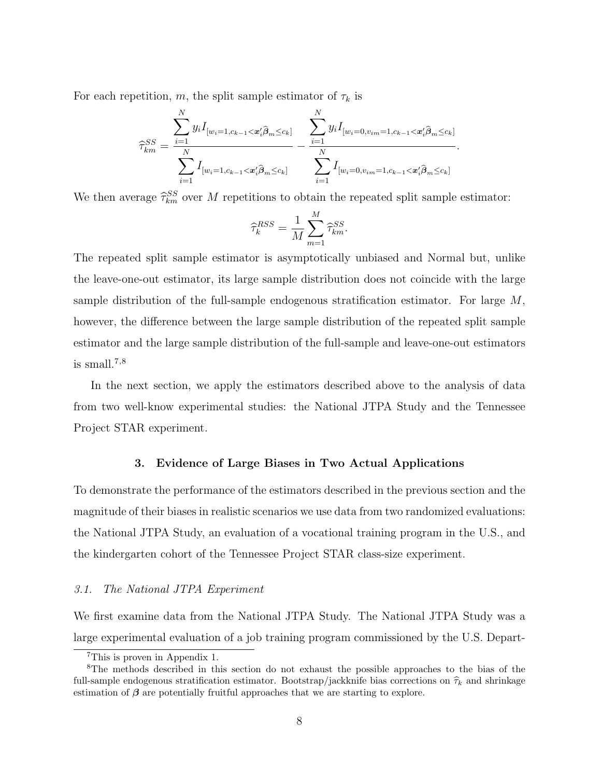For each repetition,  $m,$  the split sample estimator of  $\tau_k$  is

$$
\widehat{\tau}_{km}^{SS} = \frac{\sum_{i=1}^{N} y_i I_{[w_i=1,c_{k-1} < \mathbf{x}_i' \widehat{\beta}_m \leq c_k]}}{\sum_{i=1}^{N} I_{[w_i=1,c_{k-1} < \mathbf{x}_i' \widehat{\beta}_m \leq c_k]}} - \frac{\sum_{i=1}^{N} y_i I_{[w_i=0,v_{im}=1,c_{k-1} < \mathbf{x}_i' \widehat{\beta}_m \leq c_k]}}{\sum_{i=1}^{N} I_{[w_i=0,v_{im}=1,c_{k-1} < \mathbf{x}_i' \widehat{\beta}_m \leq c_k]}}.
$$

We then average  $\hat{\tau}_{km}^{SS}$  over M repetitions to obtain the repeated split sample estimator:

$$
\widehat{\tau}_k^{RSS} = \frac{1}{M} \sum_{m=1}^{M} \widehat{\tau}_{km}^{SS}.
$$

The repeated split sample estimator is asymptotically unbiased and Normal but, unlike the leave-one-out estimator, its large sample distribution does not coincide with the large sample distribution of the full-sample endogenous stratification estimator. For large M, however, the difference between the large sample distribution of the repeated split sample estimator and the large sample distribution of the full-sample and leave-one-out estimators is small.<sup>7</sup>,<sup>8</sup>

In the next section, we apply the estimators described above to the analysis of data from two well-know experimental studies: the National JTPA Study and the Tennessee Project STAR experiment.

### 3. Evidence of Large Biases in Two Actual Applications

To demonstrate the performance of the estimators described in the previous section and the magnitude of their biases in realistic scenarios we use data from two randomized evaluations: the National JTPA Study, an evaluation of a vocational training program in the U.S., and the kindergarten cohort of the Tennessee Project STAR class-size experiment.

### 3.1. The National JTPA Experiment

We first examine data from the National JTPA Study. The National JTPA Study was a large experimental evaluation of a job training program commissioned by the U.S. Depart-

<sup>7</sup>This is proven in Appendix 1.

<sup>8</sup>The methods described in this section do not exhaust the possible approaches to the bias of the full-sample endogenous stratification estimator. Bootstrap/jackknife bias corrections on  $\hat{\tau}_k$  and shrinkage estimation of  $\beta$  are potentially fruitful approaches that we are starting to explore.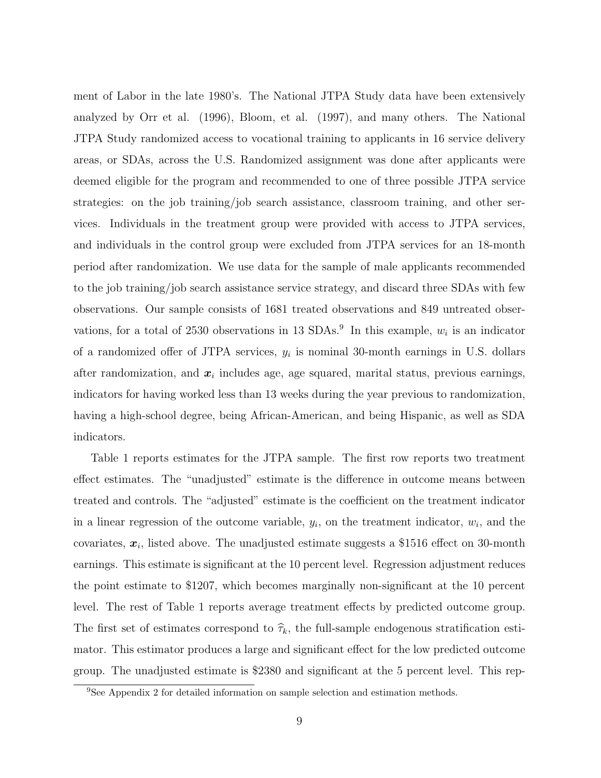ment of Labor in the late 1980's. The National JTPA Study data have been extensively analyzed by Orr et al. (1996), Bloom, et al. (1997), and many others. The National JTPA Study randomized access to vocational training to applicants in 16 service delivery areas, or SDAs, across the U.S. Randomized assignment was done after applicants were deemed eligible for the program and recommended to one of three possible JTPA service strategies: on the job training/job search assistance, classroom training, and other services. Individuals in the treatment group were provided with access to JTPA services, and individuals in the control group were excluded from JTPA services for an 18-month period after randomization. We use data for the sample of male applicants recommended to the job training/job search assistance service strategy, and discard three SDAs with few observations. Our sample consists of 1681 treated observations and 849 untreated observations, for a total of 2530 observations in 13 SDAs.<sup>9</sup> In this example,  $w_i$  is an indicator of a randomized offer of JTPA services,  $y_i$  is nominal 30-month earnings in U.S. dollars after randomization, and  $x_i$  includes age, age squared, marital status, previous earnings, indicators for having worked less than 13 weeks during the year previous to randomization, having a high-school degree, being African-American, and being Hispanic, as well as SDA indicators.

Table 1 reports estimates for the JTPA sample. The first row reports two treatment effect estimates. The "unadjusted" estimate is the difference in outcome means between treated and controls. The "adjusted" estimate is the coefficient on the treatment indicator in a linear regression of the outcome variable,  $y_i$ , on the treatment indicator,  $w_i$ , and the covariates,  $x_i$ , listed above. The unadjusted estimate suggests a \$1516 effect on 30-month earnings. This estimate is significant at the 10 percent level. Regression adjustment reduces the point estimate to \$1207, which becomes marginally non-significant at the 10 percent level. The rest of Table 1 reports average treatment effects by predicted outcome group. The first set of estimates correspond to  $\hat{\tau}_k$ , the full-sample endogenous stratification estimator. This estimator produces a large and significant effect for the low predicted outcome group. The unadjusted estimate is \$2380 and significant at the 5 percent level. This rep-

<sup>9</sup>See Appendix 2 for detailed information on sample selection and estimation methods.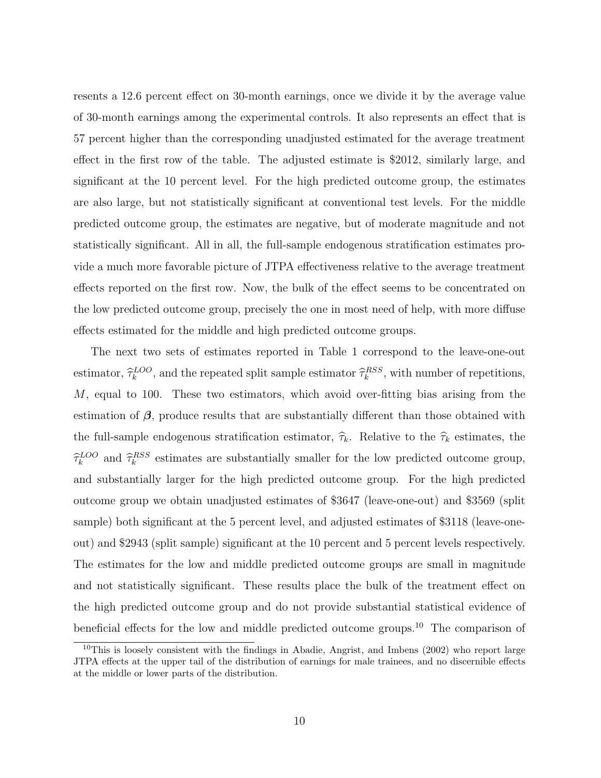resents a 12.6 percent effect on 30-month earnings, once we divide it by the average value of 30-month earnings among the experimental controls. It also represents an effect that is 57 percent higher than the corresponding unadjusted estimated for the average treatment effect in the first row of the table. The adjusted estimate is \$2012, similarly large, and significant at the 10 percent level. For the high predicted outcome group, the estimates are also large, but not statistically significant at conventional test levels. For the middle predicted outcome group, the estimates are negative, but of moderate magnitude and not statistically significant. All in all, the full-sample endogenous stratification estimates provide a much more favorable picture of JTPA effectiveness relative to the average treatment effects reported on the first row. Now, the bulk of the effect seems to be concentrated on the low predicted outcome group, precisely the one in most need of help, with more diffuse effects estimated for the middle and high predicted outcome groups.

The next two sets of estimates reported in Table 1 correspond to the leave-one-out estimator,  $\hat{\tau}_k^{LOO}$ , and the repeated split sample estimator  $\hat{\tau}_k^{RSS}$ , with number of repetitions,  $M$ , equal to 100. These two estimators, which avoid over-fitting bias arising from the estimation of  $\beta$ , produce results that are substantially different than those obtained with the full-sample endogenous stratification estimator,  $\hat{\tau}_k$ . Relative to the  $\hat{\tau}_k$  estimates, the  $\hat{\tau}_k^{LOO}$  and  $\hat{\tau}_k^{RSS}$  estimates are substantially smaller for the low predicted outcome group, and substantially larger for the high predicted outcome group. For the high predicted outcome group we obtain unadjusted estimates of \$3647 (leave-one-out) and \$3569 (split sample) both significant at the 5 percent level, and adjusted estimates of \$3118 (leave-oneout) and \$2943 (split sample) significant at the 10 percent and 5 percent levels respectively. The estimates for the low and middle predicted outcome groups are small in magnitude and not statistically significant. These results place the bulk of the treatment effect on the high predicted outcome group and do not provide substantial statistical evidence of beneficial effects for the low and middle predicted outcome groups.<sup>10</sup> The comparison of

<sup>&</sup>lt;sup>10</sup>This is loosely consistent with the findings in Abadie, Angrist, and Imbens (2002) who report large JTPA effects at the upper tail of the distribution of earnings for male trainees, and no discernible effects at the middle or lower parts of the distribution.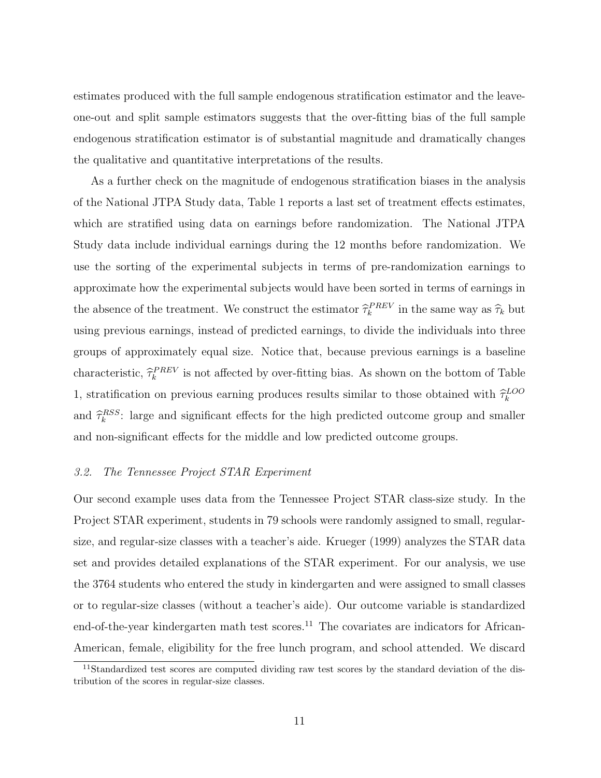estimates produced with the full sample endogenous stratification estimator and the leaveone-out and split sample estimators suggests that the over-fitting bias of the full sample endogenous stratification estimator is of substantial magnitude and dramatically changes the qualitative and quantitative interpretations of the results.

As a further check on the magnitude of endogenous stratification biases in the analysis of the National JTPA Study data, Table 1 reports a last set of treatment effects estimates, which are stratified using data on earnings before randomization. The National JTPA Study data include individual earnings during the 12 months before randomization. We use the sorting of the experimental subjects in terms of pre-randomization earnings to approximate how the experimental subjects would have been sorted in terms of earnings in the absence of the treatment. We construct the estimator  $\hat{\tau}_k^{PREV}$  in the same way as  $\hat{\tau}_k$  but using previous earnings, instead of predicted earnings, to divide the individuals into three groups of approximately equal size. Notice that, because previous earnings is a baseline characteristic,  $\hat{\tau}_k^{PREV}$  is not affected by over-fitting bias. As shown on the bottom of Table 1, stratification on previous earning produces results similar to those obtained with  $\hat{\tau}_k^{LOO}$ and  $\hat{\tau}_k^{RSS}$ : large and significant effects for the high predicted outcome group and smaller and non-significant effects for the middle and low predicted outcome groups.

# 3.2. The Tennessee Project STAR Experiment

Our second example uses data from the Tennessee Project STAR class-size study. In the Project STAR experiment, students in 79 schools were randomly assigned to small, regularsize, and regular-size classes with a teacher's aide. Krueger (1999) analyzes the STAR data set and provides detailed explanations of the STAR experiment. For our analysis, we use the 3764 students who entered the study in kindergarten and were assigned to small classes or to regular-size classes (without a teacher's aide). Our outcome variable is standardized end-of-the-year kindergarten math test scores.<sup>11</sup> The covariates are indicators for African-American, female, eligibility for the free lunch program, and school attended. We discard

<sup>&</sup>lt;sup>11</sup>Standardized test scores are computed dividing raw test scores by the standard deviation of the distribution of the scores in regular-size classes.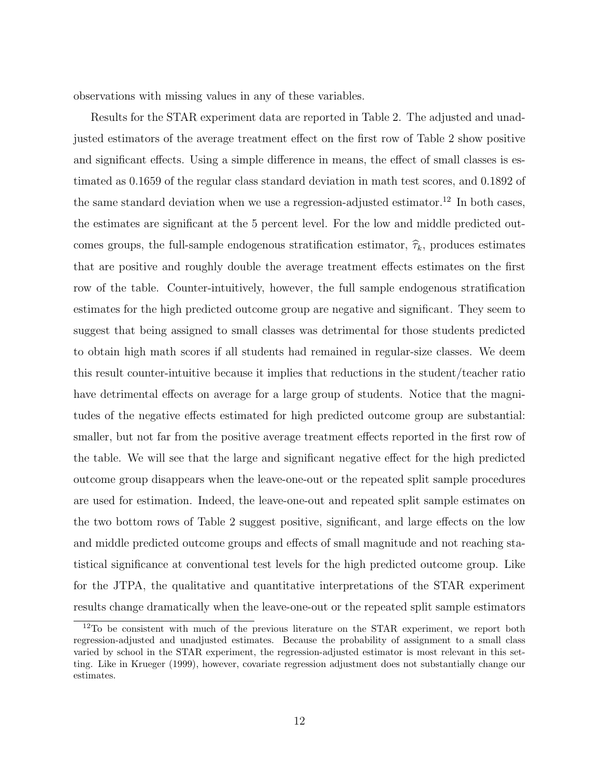observations with missing values in any of these variables.

Results for the STAR experiment data are reported in Table 2. The adjusted and unadjusted estimators of the average treatment effect on the first row of Table 2 show positive and significant effects. Using a simple difference in means, the effect of small classes is estimated as 0.1659 of the regular class standard deviation in math test scores, and 0.1892 of the same standard deviation when we use a regression-adjusted estimator.<sup>12</sup> In both cases, the estimates are significant at the 5 percent level. For the low and middle predicted outcomes groups, the full-sample endogenous stratification estimator,  $\hat{\tau}_k$ , produces estimates that are positive and roughly double the average treatment effects estimates on the first row of the table. Counter-intuitively, however, the full sample endogenous stratification estimates for the high predicted outcome group are negative and significant. They seem to suggest that being assigned to small classes was detrimental for those students predicted to obtain high math scores if all students had remained in regular-size classes. We deem this result counter-intuitive because it implies that reductions in the student/teacher ratio have detrimental effects on average for a large group of students. Notice that the magnitudes of the negative effects estimated for high predicted outcome group are substantial: smaller, but not far from the positive average treatment effects reported in the first row of the table. We will see that the large and significant negative effect for the high predicted outcome group disappears when the leave-one-out or the repeated split sample procedures are used for estimation. Indeed, the leave-one-out and repeated split sample estimates on the two bottom rows of Table 2 suggest positive, significant, and large effects on the low and middle predicted outcome groups and effects of small magnitude and not reaching statistical significance at conventional test levels for the high predicted outcome group. Like for the JTPA, the qualitative and quantitative interpretations of the STAR experiment results change dramatically when the leave-one-out or the repeated split sample estimators

<sup>&</sup>lt;sup>12</sup>To be consistent with much of the previous literature on the STAR experiment, we report both regression-adjusted and unadjusted estimates. Because the probability of assignment to a small class varied by school in the STAR experiment, the regression-adjusted estimator is most relevant in this setting. Like in Krueger (1999), however, covariate regression adjustment does not substantially change our estimates.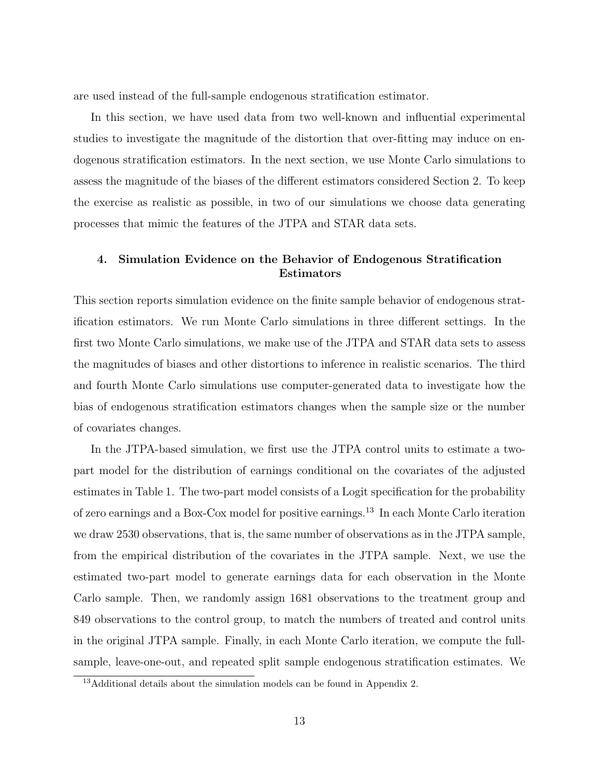are used instead of the full-sample endogenous stratification estimator.

In this section, we have used data from two well-known and influential experimental studies to investigate the magnitude of the distortion that over-fitting may induce on endogenous stratification estimators. In the next section, we use Monte Carlo simulations to assess the magnitude of the biases of the different estimators considered Section 2. To keep the exercise as realistic as possible, in two of our simulations we choose data generating processes that mimic the features of the JTPA and STAR data sets.

# 4. Simulation Evidence on the Behavior of Endogenous Stratification Estimators

This section reports simulation evidence on the finite sample behavior of endogenous stratification estimators. We run Monte Carlo simulations in three different settings. In the first two Monte Carlo simulations, we make use of the JTPA and STAR data sets to assess the magnitudes of biases and other distortions to inference in realistic scenarios. The third and fourth Monte Carlo simulations use computer-generated data to investigate how the bias of endogenous stratification estimators changes when the sample size or the number of covariates changes.

In the JTPA-based simulation, we first use the JTPA control units to estimate a twopart model for the distribution of earnings conditional on the covariates of the adjusted estimates in Table 1. The two-part model consists of a Logit specification for the probability of zero earnings and a Box-Cox model for positive earnings.<sup>13</sup> In each Monte Carlo iteration we draw 2530 observations, that is, the same number of observations as in the JTPA sample, from the empirical distribution of the covariates in the JTPA sample. Next, we use the estimated two-part model to generate earnings data for each observation in the Monte Carlo sample. Then, we randomly assign 1681 observations to the treatment group and 849 observations to the control group, to match the numbers of treated and control units in the original JTPA sample. Finally, in each Monte Carlo iteration, we compute the fullsample, leave-one-out, and repeated split sample endogenous stratification estimates. We

<sup>13</sup>Additional details about the simulation models can be found in Appendix 2.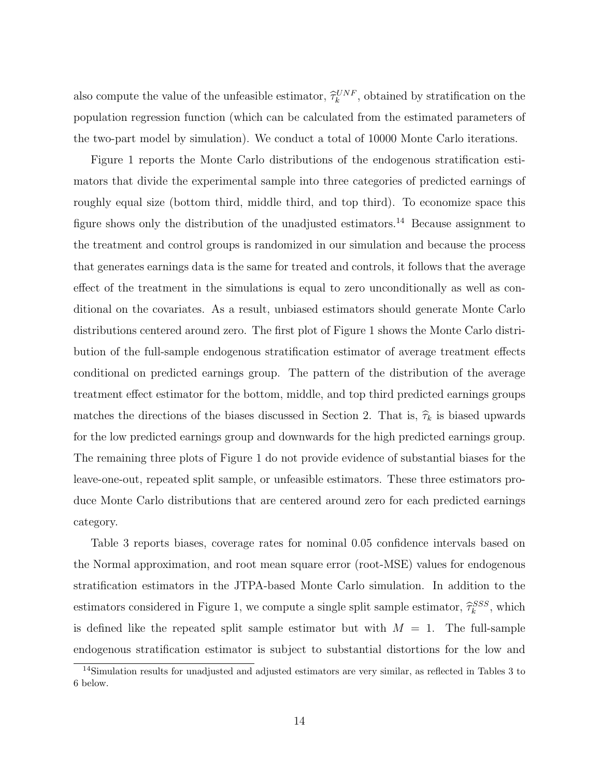also compute the value of the unfeasible estimator,  $\hat{\tau}_k^{UNF}$ , obtained by stratification on the population regression function (which can be calculated from the estimated parameters of the two-part model by simulation). We conduct a total of 10000 Monte Carlo iterations.

Figure 1 reports the Monte Carlo distributions of the endogenous stratification estimators that divide the experimental sample into three categories of predicted earnings of roughly equal size (bottom third, middle third, and top third). To economize space this figure shows only the distribution of the unadjusted estimators.<sup>14</sup> Because assignment to the treatment and control groups is randomized in our simulation and because the process that generates earnings data is the same for treated and controls, it follows that the average effect of the treatment in the simulations is equal to zero unconditionally as well as conditional on the covariates. As a result, unbiased estimators should generate Monte Carlo distributions centered around zero. The first plot of Figure 1 shows the Monte Carlo distribution of the full-sample endogenous stratification estimator of average treatment effects conditional on predicted earnings group. The pattern of the distribution of the average treatment effect estimator for the bottom, middle, and top third predicted earnings groups matches the directions of the biases discussed in Section 2. That is,  $\hat{\tau}_k$  is biased upwards for the low predicted earnings group and downwards for the high predicted earnings group. The remaining three plots of Figure 1 do not provide evidence of substantial biases for the leave-one-out, repeated split sample, or unfeasible estimators. These three estimators produce Monte Carlo distributions that are centered around zero for each predicted earnings category.

Table 3 reports biases, coverage rates for nominal 0.05 confidence intervals based on the Normal approximation, and root mean square error (root-MSE) values for endogenous stratification estimators in the JTPA-based Monte Carlo simulation. In addition to the estimators considered in Figure 1, we compute a single split sample estimator,  $\hat{\tau}_k^{SSS}$ , which is defined like the repeated split sample estimator but with  $M = 1$ . The full-sample endogenous stratification estimator is subject to substantial distortions for the low and

<sup>&</sup>lt;sup>14</sup>Simulation results for unadjusted and adjusted estimators are very similar, as reflected in Tables 3 to 6 below.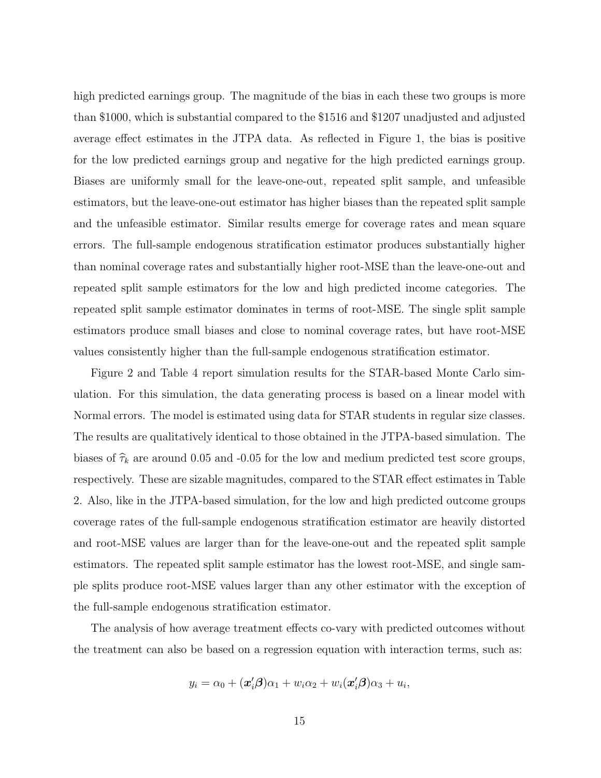high predicted earnings group. The magnitude of the bias in each these two groups is more than \$1000, which is substantial compared to the \$1516 and \$1207 unadjusted and adjusted average effect estimates in the JTPA data. As reflected in Figure 1, the bias is positive for the low predicted earnings group and negative for the high predicted earnings group. Biases are uniformly small for the leave-one-out, repeated split sample, and unfeasible estimators, but the leave-one-out estimator has higher biases than the repeated split sample and the unfeasible estimator. Similar results emerge for coverage rates and mean square errors. The full-sample endogenous stratification estimator produces substantially higher than nominal coverage rates and substantially higher root-MSE than the leave-one-out and repeated split sample estimators for the low and high predicted income categories. The repeated split sample estimator dominates in terms of root-MSE. The single split sample estimators produce small biases and close to nominal coverage rates, but have root-MSE values consistently higher than the full-sample endogenous stratification estimator.

Figure 2 and Table 4 report simulation results for the STAR-based Monte Carlo simulation. For this simulation, the data generating process is based on a linear model with Normal errors. The model is estimated using data for STAR students in regular size classes. The results are qualitatively identical to those obtained in the JTPA-based simulation. The biases of  $\hat{\tau}_k$  are around 0.05 and -0.05 for the low and medium predicted test score groups, respectively. These are sizable magnitudes, compared to the STAR effect estimates in Table 2. Also, like in the JTPA-based simulation, for the low and high predicted outcome groups coverage rates of the full-sample endogenous stratification estimator are heavily distorted and root-MSE values are larger than for the leave-one-out and the repeated split sample estimators. The repeated split sample estimator has the lowest root-MSE, and single sample splits produce root-MSE values larger than any other estimator with the exception of the full-sample endogenous stratification estimator.

The analysis of how average treatment effects co-vary with predicted outcomes without the treatment can also be based on a regression equation with interaction terms, such as:

$$
y_i = \alpha_0 + (\boldsymbol{x}_i'\boldsymbol{\beta})\alpha_1 + w_i\alpha_2 + w_i(\boldsymbol{x}_i'\boldsymbol{\beta})\alpha_3 + u_i,
$$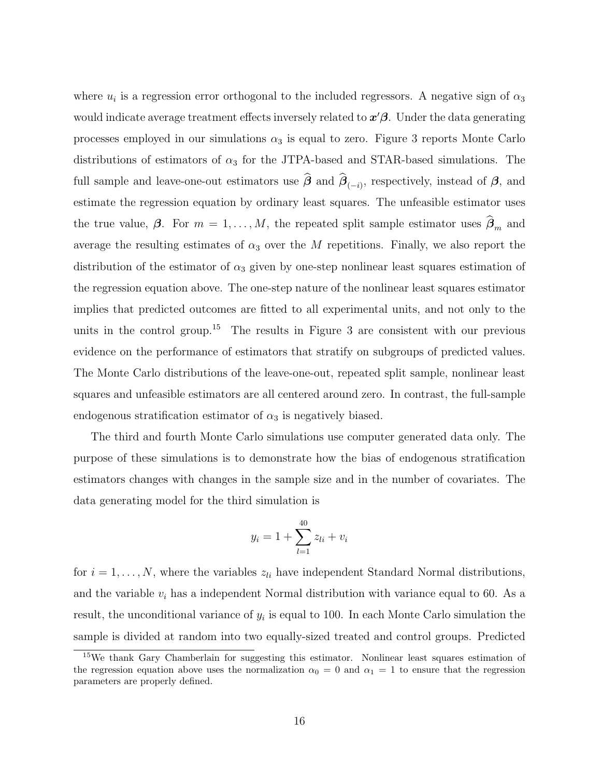where  $u_i$  is a regression error orthogonal to the included regressors. A negative sign of  $\alpha_3$ would indicate average treatment effects inversely related to  $x'\beta$ . Under the data generating processes employed in our simulations  $\alpha_3$  is equal to zero. Figure 3 reports Monte Carlo distributions of estimators of  $\alpha_3$  for the JTPA-based and STAR-based simulations. The full sample and leave-one-out estimators use  $\beta$  and  $\beta_{(-i)}$ , respectively, instead of  $\beta$ , and estimate the regression equation by ordinary least squares. The unfeasible estimator uses the true value,  $\beta$ . For  $m = 1, ..., M$ , the repeated split sample estimator uses  $\beta_m$  and average the resulting estimates of  $\alpha_3$  over the M repetitions. Finally, we also report the distribution of the estimator of  $\alpha_3$  given by one-step nonlinear least squares estimation of the regression equation above. The one-step nature of the nonlinear least squares estimator implies that predicted outcomes are fitted to all experimental units, and not only to the units in the control group.<sup>15</sup> The results in Figure 3 are consistent with our previous evidence on the performance of estimators that stratify on subgroups of predicted values. The Monte Carlo distributions of the leave-one-out, repeated split sample, nonlinear least squares and unfeasible estimators are all centered around zero. In contrast, the full-sample endogenous stratification estimator of  $\alpha_3$  is negatively biased.

The third and fourth Monte Carlo simulations use computer generated data only. The purpose of these simulations is to demonstrate how the bias of endogenous stratification estimators changes with changes in the sample size and in the number of covariates. The data generating model for the third simulation is

$$
y_i = 1 + \sum_{l=1}^{40} z_{li} + v_i
$$

for  $i = 1, \ldots, N$ , where the variables  $z_{li}$  have independent Standard Normal distributions, and the variable  $v_i$  has a independent Normal distribution with variance equal to 60. As a result, the unconditional variance of  $y_i$  is equal to 100. In each Monte Carlo simulation the sample is divided at random into two equally-sized treated and control groups. Predicted

<sup>15</sup>We thank Gary Chamberlain for suggesting this estimator. Nonlinear least squares estimation of the regression equation above uses the normalization  $\alpha_0 = 0$  and  $\alpha_1 = 1$  to ensure that the regression parameters are properly defined.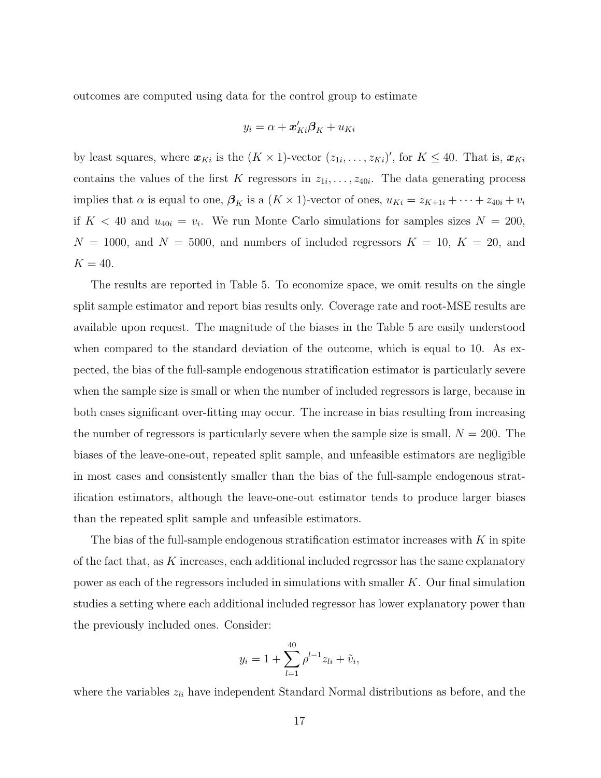outcomes are computed using data for the control group to estimate

$$
y_i = \alpha + \boldsymbol{x}'_{Ki} \boldsymbol{\beta}_K + u_{Ki}
$$

by least squares, where  $\mathbf{x}_{Ki}$  is the  $(K \times 1)$ -vector  $(z_{1i},...,z_{Ki})'$ , for  $K \leq 40$ . That is,  $\mathbf{x}_{Ki}$ contains the values of the first K regressors in  $z_{1i}, \ldots, z_{40i}$ . The data generating process implies that  $\alpha$  is equal to one,  $\beta_K$  is a  $(K \times 1)$ -vector of ones,  $u_{Ki} = z_{Ki+1i} + \cdots + z_{40i} + v_i$ if  $K < 40$  and  $u_{40i} = v_i$ . We run Monte Carlo simulations for samples sizes  $N = 200$ ,  $N = 1000$ , and  $N = 5000$ , and numbers of included regressors  $K = 10$ ,  $K = 20$ , and  $K = 40.$ 

The results are reported in Table 5. To economize space, we omit results on the single split sample estimator and report bias results only. Coverage rate and root-MSE results are available upon request. The magnitude of the biases in the Table 5 are easily understood when compared to the standard deviation of the outcome, which is equal to 10. As expected, the bias of the full-sample endogenous stratification estimator is particularly severe when the sample size is small or when the number of included regressors is large, because in both cases significant over-fitting may occur. The increase in bias resulting from increasing the number of regressors is particularly severe when the sample size is small,  $N = 200$ . The biases of the leave-one-out, repeated split sample, and unfeasible estimators are negligible in most cases and consistently smaller than the bias of the full-sample endogenous stratification estimators, although the leave-one-out estimator tends to produce larger biases than the repeated split sample and unfeasible estimators.

The bias of the full-sample endogenous stratification estimator increases with  $K$  in spite of the fact that, as  $K$  increases, each additional included regressor has the same explanatory power as each of the regressors included in simulations with smaller K. Our final simulation studies a setting where each additional included regressor has lower explanatory power than the previously included ones. Consider:

$$
y_i = 1 + \sum_{l=1}^{40} \rho^{l-1} z_{li} + \tilde{v}_i,
$$

where the variables  $z_{li}$  have independent Standard Normal distributions as before, and the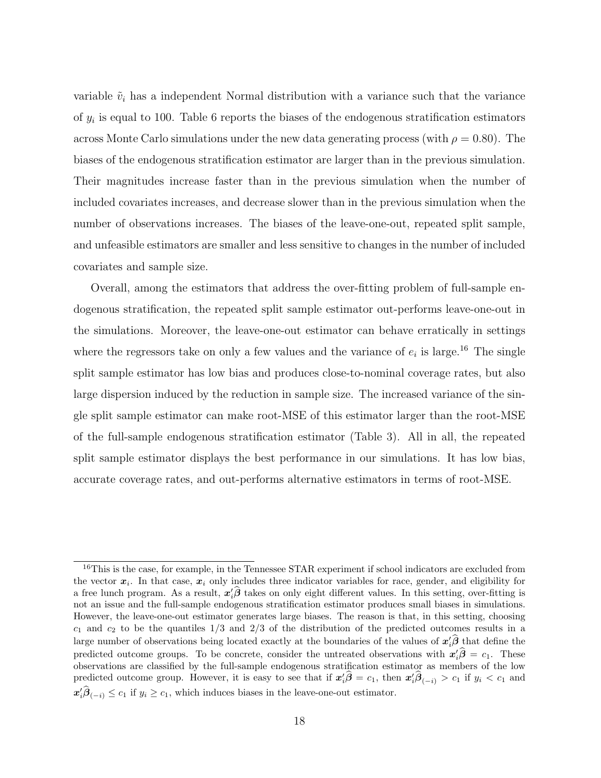variable  $\tilde{v}_i$  has a independent Normal distribution with a variance such that the variance of  $y_i$  is equal to 100. Table 6 reports the biases of the endogenous stratification estimators across Monte Carlo simulations under the new data generating process (with  $\rho = 0.80$ ). The biases of the endogenous stratification estimator are larger than in the previous simulation. Their magnitudes increase faster than in the previous simulation when the number of included covariates increases, and decrease slower than in the previous simulation when the number of observations increases. The biases of the leave-one-out, repeated split sample, and unfeasible estimators are smaller and less sensitive to changes in the number of included covariates and sample size.

Overall, among the estimators that address the over-fitting problem of full-sample endogenous stratification, the repeated split sample estimator out-performs leave-one-out in the simulations. Moreover, the leave-one-out estimator can behave erratically in settings where the regressors take on only a few values and the variance of  $e_i$  is large.<sup>16</sup> The single split sample estimator has low bias and produces close-to-nominal coverage rates, but also large dispersion induced by the reduction in sample size. The increased variance of the single split sample estimator can make root-MSE of this estimator larger than the root-MSE of the full-sample endogenous stratification estimator (Table 3). All in all, the repeated split sample estimator displays the best performance in our simulations. It has low bias, accurate coverage rates, and out-performs alternative estimators in terms of root-MSE.

<sup>&</sup>lt;sup>16</sup>This is the case, for example, in the Tennessee STAR experiment if school indicators are excluded from the vector  $x_i$ . In that case,  $x_i$  only includes three indicator variables for race, gender, and eligibility for a free lunch program. As a result,  $x_i' \hat{\beta}$  takes on only eight different values. In this setting, over-fitting is not an issue and the full-sample endogenous stratification estimator produces small biases in simulations. However, the leave-one-out estimator generates large biases. The reason is that, in this setting, choosing  $c_1$  and  $c_2$  to be the quantiles  $1/3$  and  $2/3$  of the distribution of the predicted outcomes results in a large number of observations being located exactly at the boundaries of the values of  $x_i' \hat{\beta}$  that define the predicted outcome groups. To be concrete, consider the untreated observations with  $x_i' \hat{\beta} = c_1$ . These observations are classified by the full-sample endogenous stratification estimator as members of the low predicted outcome group. However, it is easy to see that if  $x_i' \hat{\beta} = c_1$ , then  $x_i' \hat{\beta}_{(-i)} > c_1$  if  $y_i < c_1$  and  $x_i' \hat{\beta}_{(-i)} \le c_1$  if  $y_i \ge c_1$ , which induces biases in the leave-one-out estimator.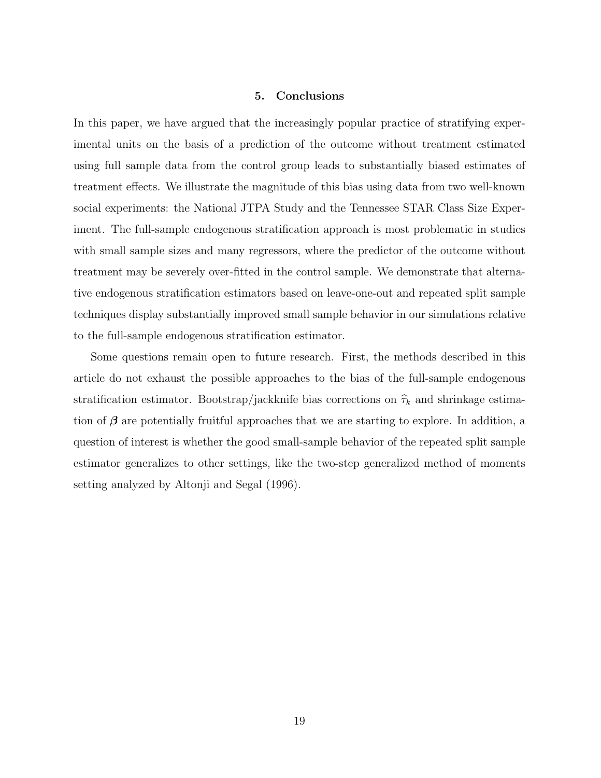#### 5. Conclusions

In this paper, we have argued that the increasingly popular practice of stratifying experimental units on the basis of a prediction of the outcome without treatment estimated using full sample data from the control group leads to substantially biased estimates of treatment effects. We illustrate the magnitude of this bias using data from two well-known social experiments: the National JTPA Study and the Tennessee STAR Class Size Experiment. The full-sample endogenous stratification approach is most problematic in studies with small sample sizes and many regressors, where the predictor of the outcome without treatment may be severely over-fitted in the control sample. We demonstrate that alternative endogenous stratification estimators based on leave-one-out and repeated split sample techniques display substantially improved small sample behavior in our simulations relative to the full-sample endogenous stratification estimator.

Some questions remain open to future research. First, the methods described in this article do not exhaust the possible approaches to the bias of the full-sample endogenous stratification estimator. Bootstrap/jackknife bias corrections on  $\hat{\tau}_k$  and shrinkage estimation of  $\beta$  are potentially fruitful approaches that we are starting to explore. In addition, a question of interest is whether the good small-sample behavior of the repeated split sample estimator generalizes to other settings, like the two-step generalized method of moments setting analyzed by Altonji and Segal (1996).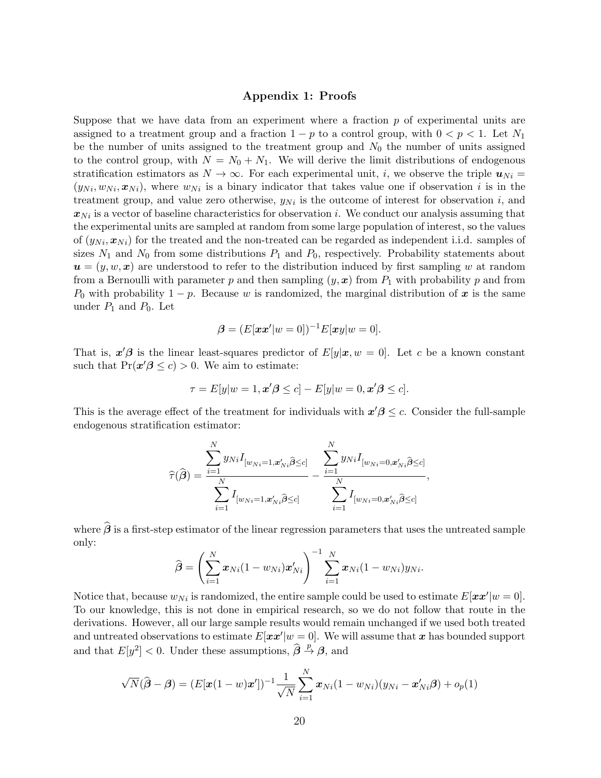### Appendix 1: Proofs

Suppose that we have data from an experiment where a fraction  $p$  of experimental units are assigned to a treatment group and a fraction  $1 - p$  to a control group, with  $0 < p < 1$ . Let N<sub>1</sub> be the number of units assigned to the treatment group and  $N_0$  the number of units assigned to the control group, with  $N = N_0 + N_1$ . We will derive the limit distributions of endogenous stratification estimators as  $N \to \infty$ . For each experimental unit, i, we observe the triple  $u_{Ni} =$  $(y_{Ni}, w_{Ni}, \mathbf{x}_{Ni})$ , where  $w_{Ni}$  is a binary indicator that takes value one if observation i is in the treatment group, and value zero otherwise,  $y_{Ni}$  is the outcome of interest for observation i, and  $x_{Ni}$  is a vector of baseline characteristics for observation i. We conduct our analysis assuming that the experimental units are sampled at random from some large population of interest, so the values of  $(y_{Ni}, x_{Ni})$  for the treated and the non-treated can be regarded as independent i.i.d. samples of sizes  $N_1$  and  $N_0$  from some distributions  $P_1$  and  $P_0$ , respectively. Probability statements about  $u = (y, w, x)$  are understood to refer to the distribution induced by first sampling w at random from a Bernoulli with parameter p and then sampling  $(y, x)$  from  $P_1$  with probability p and from  $P_0$  with probability  $1 - p$ . Because w is randomized, the marginal distribution of x is the same under  $P_1$  and  $P_0$ . Let

$$
\boldsymbol{\beta} = (E[\boldsymbol{x}\boldsymbol{x}'|w=0])^{-1}E[\boldsymbol{x}y|w=0].
$$

That is,  $x'\beta$  is the linear least-squares predictor of  $E[y|x, w = 0]$ . Let c be a known constant such that  $Pr(\mathbf{x}'\boldsymbol{\beta} \leq c) > 0$ . We aim to estimate:

$$
\tau = E[y|w = 1, \mathbf{x}'\boldsymbol{\beta} \le c] - E[y|w = 0, \mathbf{x}'\boldsymbol{\beta} \le c].
$$

This is the average effect of the treatment for individuals with  $x' \beta \leq c$ . Consider the full-sample endogenous stratification estimator:

$$
\widehat{\tau}(\widehat{\boldsymbol{\beta}}) = \frac{\sum_{i=1}^{N} y_{Ni} I_{[w_{Ni}=1, \mathbf{x}'_{Ni} \widehat{\boldsymbol{\beta}} \leq c]}}{\sum_{i=1}^{N} I_{[w_{Ni}=1, \mathbf{x}'_{Ni} \widehat{\boldsymbol{\beta}} \leq c]}} - \frac{\sum_{i=1}^{N} y_{Ni} I_{[w_{Ni}=0, \mathbf{x}'_{Ni} \widehat{\boldsymbol{\beta}} \leq c]}}{\sum_{i=1}^{N} I_{[w_{Ni}=0, \mathbf{x}'_{Ni} \widehat{\boldsymbol{\beta}} \leq c]}},
$$

where  $\widehat{\boldsymbol{\beta}}$  is a first-step estimator of the linear regression parameters that uses the untreated sample only:

$$
\widehat{\boldsymbol{\beta}} = \left(\sum_{i=1}^N \boldsymbol{x}_{Ni}(1 - w_{Ni})\boldsymbol{x}'_{Ni}\right)^{-1} \sum_{i=1}^N \boldsymbol{x}_{Ni}(1 - w_{Ni})y_{Ni}.
$$

Notice that, because  $w_{Ni}$  is randomized, the entire sample could be used to estimate  $E[\mathbf{x} \mathbf{x}'|w = 0]$ . To our knowledge, this is not done in empirical research, so we do not follow that route in the derivations. However, all our large sample results would remain unchanged if we used both treated and untreated observations to estimate  $E[\mathbf{x} \mathbf{x}' | w = 0]$ . We will assume that x has bounded support and that  $E[y^2] < 0$ . Under these assumptions,  $\hat{\beta} \stackrel{p}{\rightarrow} \beta$ , and

$$
\sqrt{N}(\widehat{\boldsymbol{\beta}} - \boldsymbol{\beta}) = (E[\boldsymbol{x}(1-w)\boldsymbol{x}'])^{-1} \frac{1}{\sqrt{N}} \sum_{i=1}^{N} \boldsymbol{x}_{Ni}(1-w_{Ni})(y_{Ni} - \boldsymbol{x}'_{Ni}\boldsymbol{\beta}) + o_p(1)
$$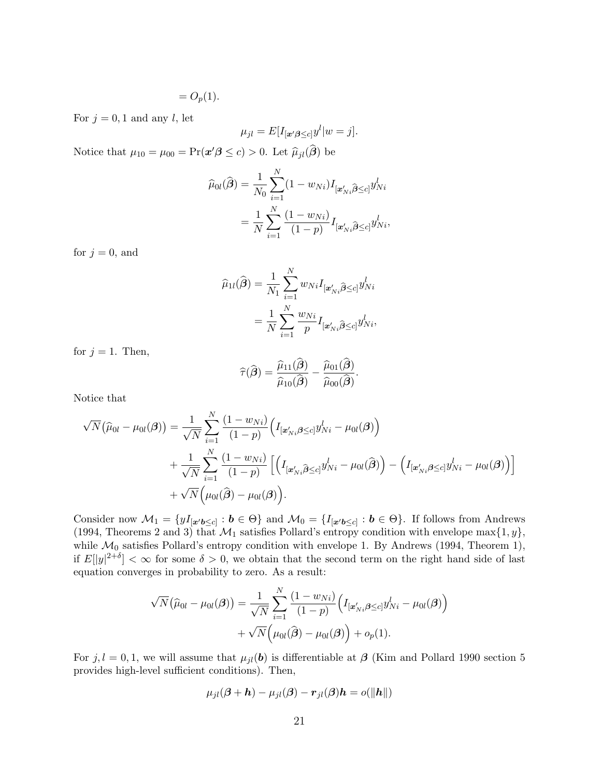$$
=O_p(1).
$$

For  $j = 0, 1$  and any l, let

$$
\mu_{jl} = E[I_{\lbrack \mathbf{z}'\mathbf{\beta}\leq c]}y^{l}|w=j].
$$

Notice that  $\mu_{10} = \mu_{00} = \Pr(\mathbf{x}'\boldsymbol{\beta} \le c) > 0$ . Let  $\widehat{\mu}_{jl}(\widehat{\boldsymbol{\beta}})$  be

$$
\widehat{\mu}_{0l}(\widehat{\boldsymbol{\beta}}) = \frac{1}{N_0} \sum_{i=1}^{N} (1 - w_{Ni}) I_{[\mathbf{x}'_{Ni}\widehat{\boldsymbol{\beta}} \le c]} y_{Ni}^{l}
$$

$$
= \frac{1}{N} \sum_{i=1}^{N} \frac{(1 - w_{Ni})}{(1 - p)} I_{[\mathbf{x}'_{Ni}\widehat{\boldsymbol{\beta}} \le c]} y_{Ni}^{l},
$$

for  $j = 0$ , and

$$
\widehat{\mu}_{1l}(\widehat{\boldsymbol{\beta}}) = \frac{1}{N_1} \sum_{i=1}^{N} w_{Ni} I_{[\mathbf{x}'_{Ni}\widehat{\boldsymbol{\beta}} \le c]} y_{Ni}^{l}
$$

$$
= \frac{1}{N} \sum_{i=1}^{N} \frac{w_{Ni}}{p} I_{[\mathbf{x}'_{Ni}\widehat{\boldsymbol{\beta}} \le c]} y_{Ni}^{l},
$$

for  $j = 1$ . Then,

$$
\widehat{\tau}(\widehat{\boldsymbol{\beta}}) = \frac{\widehat{\mu}_{11}(\widehat{\boldsymbol{\beta}})}{\widehat{\mu}_{10}(\widehat{\boldsymbol{\beta}})} - \frac{\widehat{\mu}_{01}(\widehat{\boldsymbol{\beta}})}{\widehat{\mu}_{00}(\widehat{\boldsymbol{\beta}})}.
$$

Notice that

$$
\sqrt{N}(\widehat{\mu}_{0l} - \mu_{0l}(\boldsymbol{\beta})) = \frac{1}{\sqrt{N}} \sum_{i=1}^{N} \frac{(1 - w_{Ni})}{(1 - p)} \Big( I_{\left[\boldsymbol{x}'_{Ni}\boldsymbol{\beta} \le c\right]} y_{Ni}^{l} - \mu_{0l}(\boldsymbol{\beta}) \Big) + \frac{1}{\sqrt{N}} \sum_{i=1}^{N} \frac{(1 - w_{Ni})}{(1 - p)} \Big[ \Big( I_{\left[\boldsymbol{x}'_{Ni}\boldsymbol{\beta} \le c\right]} y_{Ni}^{l} - \mu_{0l}(\boldsymbol{\beta}) \Big) - \Big( I_{\left[\boldsymbol{x}'_{Ni}\boldsymbol{\beta} \le c\right]} y_{Ni}^{l} - \mu_{0l}(\boldsymbol{\beta}) \Big) \Big] + \sqrt{N} \Big( \mu_{0l}(\widehat{\boldsymbol{\beta}}) - \mu_{0l}(\boldsymbol{\beta}) \Big).
$$

Consider now  $\mathcal{M}_1 = \{yI_{[\mathbf{x'}\mathbf{b}\leq c]} : \mathbf{b} \in \Theta\}$  and  $\mathcal{M}_0 = \{I_{[\mathbf{x'}\mathbf{b}\leq c]} : \mathbf{b} \in \Theta\}$ . If follows from Andrews (1994, Theorems 2 and 3) that  $\mathcal{M}_1$  satisfies Pollard's entropy condition with envelope max $\{1, y\}$ , while  $\mathcal{M}_0$  satisfies Pollard's entropy condition with envelope 1. By Andrews (1994, Theorem 1), if  $E[|y|^{2+\delta}] < \infty$  for some  $\delta > 0$ , we obtain that the second term on the right hand side of last equation converges in probability to zero. As a result:

$$
\sqrt{N}(\widehat{\mu}_{0l} - \mu_{0l}(\boldsymbol{\beta})) = \frac{1}{\sqrt{N}} \sum_{i=1}^{N} \frac{(1 - w_{Ni})}{(1 - p)} \Big( I_{[\mathbf{x}'_{Ni}, \boldsymbol{\beta} \le c]} y_{Ni}^{l} - \mu_{0l}(\boldsymbol{\beta}) \Big) + \sqrt{N} \Big( \mu_{0l}(\widehat{\boldsymbol{\beta}}) - \mu_{0l}(\boldsymbol{\beta}) \Big) + o_p(1).
$$

For  $j, l = 0, 1$ , we will assume that  $\mu_{jl}(\boldsymbol{b})$  is differentiable at  $\boldsymbol{\beta}$  (Kim and Pollard 1990 section 5 provides high-level sufficient conditions). Then,

$$
\mu_{jl}(\boldsymbol{\beta}+\boldsymbol{h})-\mu_{jl}(\boldsymbol{\beta})-\boldsymbol{r}_{jl}(\boldsymbol{\beta})\boldsymbol{h}=o(\|\boldsymbol{h}\|)
$$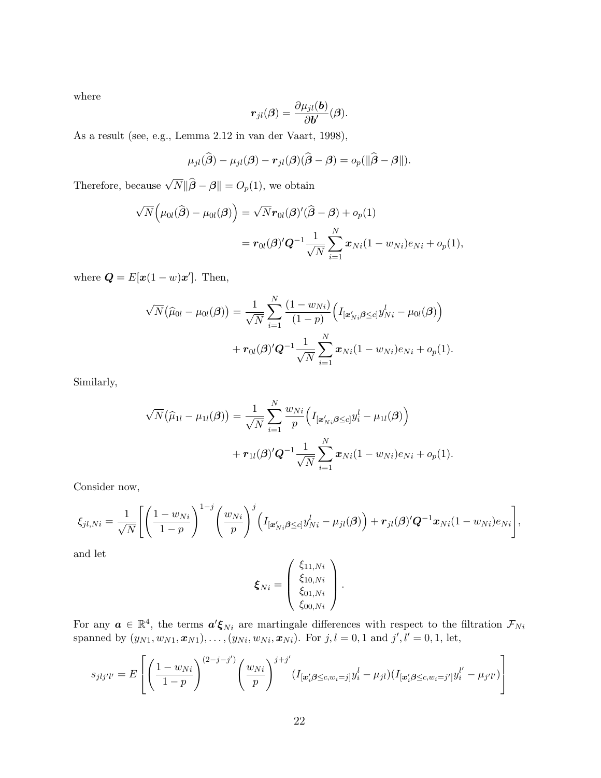where

$$
\boldsymbol{r}_{jl}(\boldsymbol{\beta})=\frac{\partial \mu_{jl}(\boldsymbol{b})}{\partial \boldsymbol{b}'}(\boldsymbol{\beta}).
$$

As a result (see, e.g., Lemma 2.12 in van der Vaart, 1998),

$$
\mu_{jl}(\widehat{\boldsymbol{\beta}})-\mu_{jl}(\boldsymbol{\beta})-\boldsymbol{r}_{jl}(\boldsymbol{\beta})(\widehat{\boldsymbol{\beta}}-\boldsymbol{\beta})=o_p(\|\widehat{\boldsymbol{\beta}}-\boldsymbol{\beta}\|).
$$

Therefore, because  $\sqrt{N} \|\hat{\boldsymbol{\beta}} - \boldsymbol{\beta}\| = O_p(1)$ , we obtain

$$
\sqrt{N}\Big(\mu_{0l}(\widehat{\boldsymbol{\beta}}) - \mu_{0l}(\boldsymbol{\beta})\Big) = \sqrt{N}\boldsymbol{r}_{0l}(\boldsymbol{\beta})'(\widehat{\boldsymbol{\beta}} - \boldsymbol{\beta}) + o_p(1)
$$
  
=  $\boldsymbol{r}_{0l}(\boldsymbol{\beta})'\boldsymbol{Q}^{-1}\frac{1}{\sqrt{N}}\sum_{i=1}^N \boldsymbol{x}_{Ni}(1 - w_{Ni})e_{Ni} + o_p(1),$ 

where  $\mathbf{Q} = E[\mathbf{x}(1-w)\mathbf{x}']$ . Then,

$$
\sqrt{N}(\widehat{\mu}_{0l} - \mu_{0l}(\boldsymbol{\beta})) = \frac{1}{\sqrt{N}} \sum_{i=1}^{N} \frac{(1 - w_{Ni})}{(1 - p)} \Big( I_{[\mathbf{x}'_{Ni}\boldsymbol{\beta} \le c]} y_{Ni}^{l} - \mu_{0l}(\boldsymbol{\beta}) \Big) + r_{0l}(\boldsymbol{\beta})' \mathbf{Q}^{-1} \frac{1}{\sqrt{N}} \sum_{i=1}^{N} \mathbf{x}_{Ni} (1 - w_{Ni}) e_{Ni} + o_{p}(1).
$$

Similarly,

$$
\sqrt{N}(\widehat{\mu}_{1l} - \mu_{1l}(\boldsymbol{\beta})) = \frac{1}{\sqrt{N}} \sum_{i=1}^{N} \frac{w_{Ni}}{p} \Big( I_{[\mathbf{x}'_{Ni}\boldsymbol{\beta} \le c]} y_i^l - \mu_{1l}(\boldsymbol{\beta}) \Big) + r_{1l}(\boldsymbol{\beta})' \mathbf{Q}^{-1} \frac{1}{\sqrt{N}} \sum_{i=1}^{N} \mathbf{x}_{Ni} (1 - w_{Ni}) e_{Ni} + o_p(1).
$$

Consider now,

$$
\xi_{jl,Ni} = \frac{1}{\sqrt{N}} \Biggl[ \Biggl( \frac{1-w_{Ni}}{1-p} \Biggr)^{1-j} \Biggl( \frac{w_{Ni}}{p} \Biggr)^j \Biggl( I_{\left[ \mathbf{z}_{Ni}' \boldsymbol{\beta} \leq c \right]} y_{Ni}^l - \mu_{jl}(\boldsymbol{\beta}) \Biggr) + \mathbf{r}_{jl}(\boldsymbol{\beta})' \mathbf{Q}^{-1} \mathbf{x}_{Ni} (1-w_{Ni}) e_{Ni} \Biggr],
$$

and let

$$
\boldsymbol{\xi}_{Ni} = \left(\begin{array}{c} \xi_{11,Ni} \\ \xi_{10,Ni} \\ \xi_{01,Ni} \\ \xi_{00,Ni} \end{array}\right).
$$

For any  $a \in \mathbb{R}^4$ , the terms  $a'\xi_{Ni}$  are martingale differences with respect to the filtration  $\mathcal{F}_{Ni}$ spanned by  $(y_{N1}, w_{N1}, x_{N1}), \ldots, (y_{Ni}, w_{Ni}, x_{Ni})$ . For  $j, l = 0, 1$  and  $j', l' = 0, 1$ , let,

$$
s_{jlj'l'} = E\left[ \left( \frac{1 - w_{Ni}}{1 - p} \right)^{(2 - j - j')} \left( \frac{w_{Ni}}{p} \right)^{j + j'} (I_{[\mathbf{x}_i' \beta \le c, w_i = j]} y_i^l - \mu_{jl}) (I_{[\mathbf{x}_i' \beta \le c, w_i = j']} y_i^{l'} - \mu_{j'l'}) \right]
$$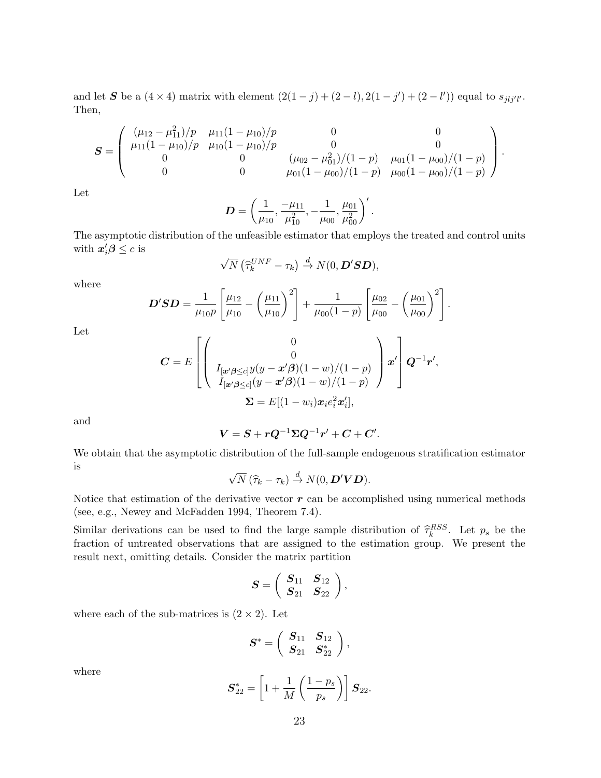and let S be a  $(4 \times 4)$  matrix with element  $(2(1-j)+(2-l),2(1-j')+(2-l'))$  equal to  $s_{jlj'l'}$ . Then,

$$
\mathbf{S} = \left( \begin{array}{cccc} (\mu_{12} - \mu_{11}^2)/p & \mu_{11}(1 - \mu_{10})/p & 0 & 0 \\ \mu_{11}(1 - \mu_{10})/p & \mu_{10}(1 - \mu_{10})/p & 0 & 0 \\ 0 & 0 & (\mu_{02} - \mu_{01}^2)/(1 - p) & \mu_{01}(1 - \mu_{00})/(1 - p) \\ 0 & 0 & \mu_{01}(1 - \mu_{00})/(1 - p) & \mu_{00}(1 - \mu_{00})/(1 - p) \end{array} \right).
$$

Let

$$
D = \left(\frac{1}{\mu_{10}}, \frac{-\mu_{11}}{\mu_{10}^2}, -\frac{1}{\mu_{00}}, \frac{\mu_{01}}{\mu_{00}^2}\right)'.
$$

The asymptotic distribution of the unfeasible estimator that employs the treated and control units with  $x_i'\boldsymbol{\beta} \leq c$  is

$$
\sqrt{N}\left(\widehat{\tau}_{k}^{UNF}-\tau_{k}\right)\stackrel{d}{\rightarrow} N(0,\boldsymbol{D}'\boldsymbol{S}\boldsymbol{D}),
$$

where

$$
D'SD = \frac{1}{\mu_{10}p} \left[ \frac{\mu_{12}}{\mu_{10}} - \left( \frac{\mu_{11}}{\mu_{10}} \right)^2 \right] + \frac{1}{\mu_{00}(1-p)} \left[ \frac{\mu_{02}}{\mu_{00}} - \left( \frac{\mu_{01}}{\mu_{00}} \right)^2 \right].
$$

Let

$$
\mathbf{C} = E\left[\begin{pmatrix} 0 \\ 0 \\ I_{\left[\mathbf{x}'\boldsymbol{\beta} \leq c\right]} y(y - \mathbf{x}'\boldsymbol{\beta})(1 - w)/(1 - p) \\ I_{\left[\mathbf{x}'\boldsymbol{\beta} \leq c\right]} (y - \mathbf{x}'\boldsymbol{\beta})(1 - w)/(1 - p) \end{pmatrix} \mathbf{x}'\right] \mathbf{Q}^{-1}\mathbf{r}',
$$
  

$$
\mathbf{\Sigma} = E[(1 - w_i)\mathbf{x}_i e_i^2 \mathbf{x}'_i],
$$

and

$$
\boldsymbol{V} = \boldsymbol{S} + \boldsymbol{r} \boldsymbol{Q}^{-1} \boldsymbol{\Sigma} \boldsymbol{Q}^{-1} \boldsymbol{r}^\prime + \boldsymbol{C} + \boldsymbol{C}^\prime.
$$

We obtain that the asymptotic distribution of the full-sample endogenous stratification estimator is √

$$
\sqrt{N}(\widehat{\tau}_k-\tau_k)\overset{d}{\to} N(0,\boldsymbol{D}'\boldsymbol{V}\boldsymbol{D}).
$$

Notice that estimation of the derivative vector  $r$  can be accomplished using numerical methods (see, e.g., Newey and McFadden 1994, Theorem 7.4).

Similar derivations can be used to find the large sample distribution of  $\hat{\tau}_k^{RSS}$ . Let  $p_s$  be the fraction of untracted observations that are essigned to the estimation group. We present the fraction of untreated observations that are assigned to the estimation group. We present the result next, omitting details. Consider the matrix partition

$$
\boldsymbol{S}=\left(\begin{array}{cc}\boldsymbol{S}_{11} & \boldsymbol{S}_{12}\\ \boldsymbol{S}_{21} & \boldsymbol{S}_{22}\end{array}\right),
$$

where each of the sub-matrices is  $(2 \times 2)$ . Let

$$
\bm{S}^* = \left( \begin{array}{cc} \bm{S}_{11} & \bm{S}_{12} \\ \bm{S}_{21} & \bm{S}_{22}^* \end{array} \right),
$$

where

$$
\bm{S}_{22}^{*} = \left[1 + \frac{1}{M} \left(\frac{1 - p_s}{p_s}\right)\right] \bm{S}_{22}.
$$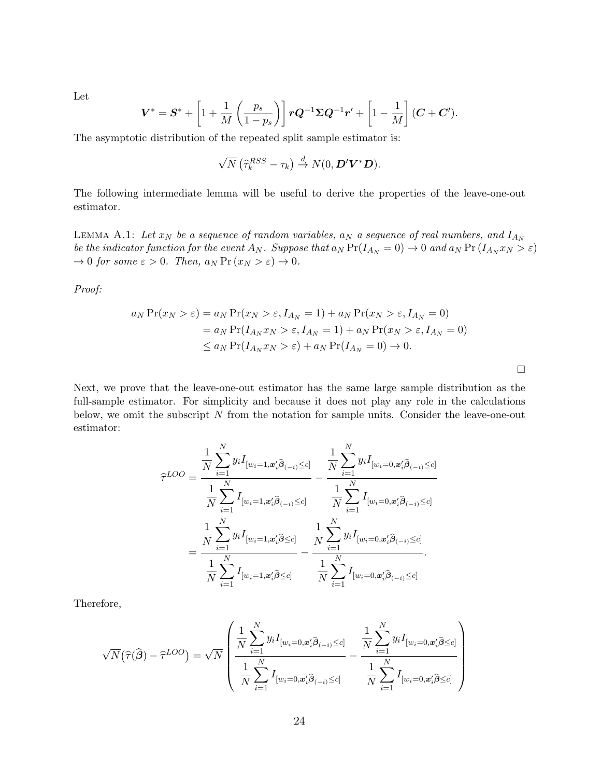Let

$$
\boldsymbol{V}^* = \boldsymbol{S}^* + \left[1 + \frac{1}{M} \left(\frac{p_s}{1-p_s}\right)\right] \boldsymbol{r} \boldsymbol{Q}^{-1} \boldsymbol{\Sigma} \boldsymbol{Q}^{-1} \boldsymbol{r}' + \left[1 - \frac{1}{M}\right] (\boldsymbol{C} + \boldsymbol{C}').
$$

The asymptotic distribution of the repeated split sample estimator is:

$$
\sqrt{N} \left( \widehat{\tau}_k^{RSS} - \tau_k \right) \stackrel{d}{\rightarrow} N(0, \boldsymbol{D}' \boldsymbol{V}^* \boldsymbol{D}).
$$

The following intermediate lemma will be useful to derive the properties of the leave-one-out estimator.

LEMMA A.1: Let  $x_N$  be a sequence of random variables,  $a_N$  a sequence of real numbers, and  $I_{A_N}$ be the indicator function for the event  $A_N$ . Suppose that  $a_N \Pr(I_{A_N} = 0) \to 0$  and  $a_N \Pr(I_{A_N} x_N > \varepsilon)$  $\rightarrow 0$  for some  $\varepsilon > 0$ . Then,  $a_N \Pr(x_N > \varepsilon) \rightarrow 0$ .

Proof:

$$
a_N \Pr(x_N > \varepsilon) = a_N \Pr(x_N > \varepsilon, I_{A_N} = 1) + a_N \Pr(x_N > \varepsilon, I_{A_N} = 0)
$$
  
=  $a_N \Pr(I_{A_N} x_N > \varepsilon, I_{A_N} = 1) + a_N \Pr(x_N > \varepsilon, I_{A_N} = 0)$   
 $\le a_N \Pr(I_{A_N} x_N > \varepsilon) + a_N \Pr(I_{A_N} = 0) \to 0.$ 

 $\Box$ 

Next, we prove that the leave-one-out estimator has the same large sample distribution as the full-sample estimator. For simplicity and because it does not play any role in the calculations below, we omit the subscript  $N$  from the notation for sample units. Consider the leave-one-out estimator:

$$
\hat{\tau}^{LOO} = \frac{\frac{1}{N} \sum_{i=1}^{N} y_i I_{[w_i=1, \mathbf{x}_i' \hat{\boldsymbol{\beta}}_{(-i)} \leq c]}}{\frac{1}{N} \sum_{i=1}^{N} I_{[w_i=1, \mathbf{x}_i' \hat{\boldsymbol{\beta}}_{(-i)} \leq c]}} - \frac{\frac{1}{N} \sum_{i=1}^{N} y_i I_{[w_i=0, \mathbf{x}_i' \hat{\boldsymbol{\beta}}_{(-i)} \leq c]}}{\frac{1}{N} \sum_{i=1}^{N} I_{[w_i=0, \mathbf{x}_i' \hat{\boldsymbol{\beta}}_{(-i)} \leq c]}} \n= \frac{\frac{1}{N} \sum_{i=1}^{N} y_i I_{[w_i=1, \mathbf{x}_i' \hat{\boldsymbol{\beta}} \leq c]}}{\frac{1}{N} \sum_{i=1}^{N} y_i I_{[w_i=0, \mathbf{x}_i' \hat{\boldsymbol{\beta}}_{(-i)} \leq c]}} - \frac{\frac{1}{N} \sum_{i=1}^{N} y_i I_{[w_i=0, \mathbf{x}_i' \hat{\boldsymbol{\beta}}_{(-i)} \leq c]}}{\frac{1}{N} \sum_{i=1}^{N} I_{[w_i=0, \mathbf{x}_i' \hat{\boldsymbol{\beta}}_{(-i)} \leq c]}}.
$$

Therefore,

$$
\sqrt{N}\left(\widehat{\tau}(\widehat{\boldsymbol{\beta}})-\widehat{\tau}^{LOO}\right)=\sqrt{N}\left(\frac{\frac{1}{N}\sum_{i=1}^{N}y_{i}I_{[w_{i}=0,\boldsymbol{x}_{i}^{\prime}\widehat{\boldsymbol{\beta}}_{(-i)}\leq c]}}{\frac{1}{N}\sum_{i=1}^{N}I_{[w_{i}=0,\boldsymbol{x}_{i}^{\prime}\widehat{\boldsymbol{\beta}}_{(-i)}\leq c]}}-\frac{\frac{1}{N}\sum_{i=1}^{N}y_{i}I_{[w_{i}=0,\boldsymbol{x}_{i}^{\prime}\widehat{\boldsymbol{\beta}}\leq c]}}{\frac{1}{N}\sum_{i=1}^{N}I_{[w_{i}=0,\boldsymbol{x}_{i}^{\prime}\widehat{\boldsymbol{\beta}}\leq c]}}\right)
$$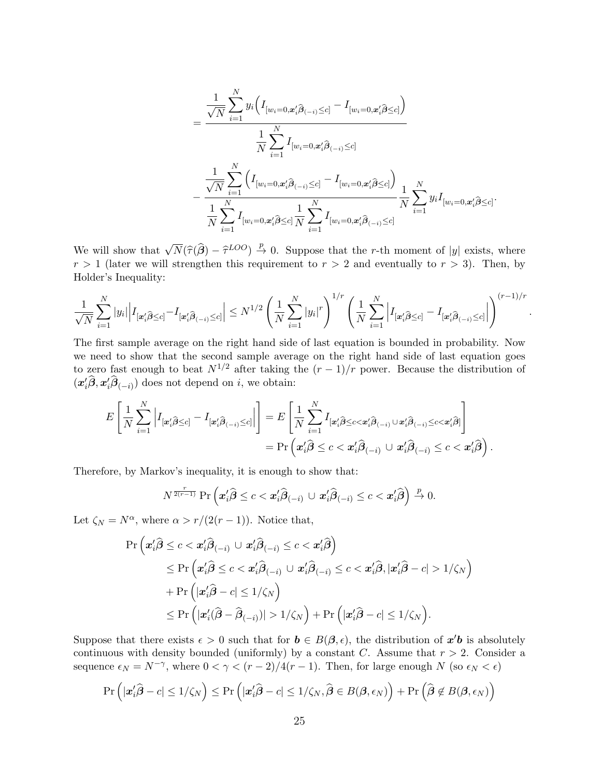$$
=\frac{\frac{1}{\sqrt{N}}\sum\limits_{i=1}^{N}y_i\Big(I_{[w_i=0,\mathbf{x}_i'\widehat{\boldsymbol{\beta}}_{(-i)}\leq c]} - I_{[w_i=0,\mathbf{x}_i'\widehat{\boldsymbol{\beta}}\leq c]}\Big)}{\frac{1}{N}\sum\limits_{i=1}^{N}I_{[w_i=0,\mathbf{x}_i'\widehat{\boldsymbol{\beta}}_{(-i)}\leq c]}} - \frac{\frac{1}{\sqrt{N}}\sum\limits_{i=1}^{N}\Big(I_{[w_i=0,\mathbf{x}_i'\widehat{\boldsymbol{\beta}}_{(-i)}\leq c]} - I_{[w_i=0,\mathbf{x}_i'\widehat{\boldsymbol{\beta}}\leq c]}\Big)}{\frac{1}{N}\sum\limits_{i=1}^{N}I_{[w_i=0,\mathbf{x}_i'\widehat{\boldsymbol{\beta}}\leq c]}\frac{1}{N}\sum\limits_{i=1}^{N}I_{[w_i=0,\mathbf{x}_i'\widehat{\boldsymbol{\beta}}_{(-i)}\leq c]}}\frac{1}{N}\sum\limits_{i=1}^{N}y_iI_{[w_i=0,\mathbf{x}_i'\widehat{\boldsymbol{\beta}}\leq c]}.
$$

.

We will show that  $\sqrt{N}(\hat{\tau}(\hat{\beta}) - \hat{\tau}^{LOO}) \stackrel{p}{\to} 0$ . Suppose that the r-th moment of |y| exists, where  $r > 1$  (later we will strengthen this requirement to  $r > 2$  and eventually to  $r > 3$ ). Then, by Holder's Inequality:

$$
\frac{1}{\sqrt{N}}\sum_{i=1}^N|y_i|\Big|I_{[\mathbf{x}_i'\widehat{\boldsymbol{\beta}}\leq c]}-I_{[\mathbf{x}_i'\widehat{\boldsymbol{\beta}}_{(-i)}\leq c]}\Big|\leq N^{1/2}\left(\frac{1}{N}\sum_{i=1}^N|y_i|^r\right)^{1/r}\left(\frac{1}{N}\sum_{i=1}^N\Big|I_{[\mathbf{x}_i'\widehat{\boldsymbol{\beta}}\leq c]}-I_{[\mathbf{x}_i'\widehat{\boldsymbol{\beta}}_{(-i)}\leq c]}\Big|\right)^{(r-1)/r}
$$

The first sample average on the right hand side of last equation is bounded in probability. Now we need to show that the second sample average on the right hand side of last equation goes to zero fast enough to beat  $N^{1/2}$  after taking the  $(r-1)/r$  power. Because the distribution of  $(x'_i\widehat{\beta}, x'_i\widehat{\beta}_{(-i)})$  does not depend on *i*, we obtain:

$$
E\left[\frac{1}{N}\sum_{i=1}^N \left|I_{[\boldsymbol{x}_i'\widehat{\boldsymbol{\beta}}\leq c]} - I_{[\boldsymbol{x}_i'\widehat{\boldsymbol{\beta}}_{(-i)}\leq c]}\right|\right] = E\left[\frac{1}{N}\sum_{i=1}^N I_{[\boldsymbol{x}_i'\widehat{\boldsymbol{\beta}}\leq c<\boldsymbol{x}_i'\widehat{\boldsymbol{\beta}}_{(-i)}\cup\boldsymbol{x}_i'\widehat{\boldsymbol{\beta}}_{(-i)}\leq c<\boldsymbol{x}_i'\widehat{\boldsymbol{\beta}}\right]\right]
$$
  
=  $\Pr\left(\boldsymbol{x}_i'\widehat{\boldsymbol{\beta}}\leq c<\boldsymbol{x}_i'\widehat{\boldsymbol{\beta}}_{(-i)}\cup\boldsymbol{x}_i'\widehat{\boldsymbol{\beta}}_{(-i)}\leq c<\boldsymbol{x}_i'\widehat{\boldsymbol{\beta}}\right).$ 

Therefore, by Markov's inequality, it is enough to show that:

$$
N^{\frac{r}{2(r-1)}} \Pr \left( \boldsymbol{x}_i' \boldsymbol{\hat{\beta}} \leq c < \boldsymbol{x}_i' \boldsymbol{\hat{\beta}}_{(-i)} \cup \boldsymbol{x}_i' \boldsymbol{\hat{\beta}}_{(-i)} \leq c < \boldsymbol{x}_i' \boldsymbol{\hat{\beta}} \right) \stackrel{p}{\rightarrow} 0.
$$

Let  $\zeta_N = N^{\alpha}$ , where  $\alpha > r/(2(r-1))$ . Notice that,

$$
\begin{aligned} \Pr\Big(\bm{x}_i'\widehat{\bm{\beta}} &\leq c < \bm{x}_i'\widehat{\bm{\beta}}_{(-i)} \cup \bm{x}_i'\widehat{\bm{\beta}}_{(-i)} \leq c < \bm{x}_i'\widehat{\bm{\beta}} \Big) \\ &\leq \Pr\Big(\bm{x}_i'\widehat{\bm{\beta}} \leq c < \bm{x}_i'\widehat{\bm{\beta}}_{(-i)} \cup \bm{x}_i'\widehat{\bm{\beta}}_{(-i)} \leq c < \bm{x}_i'\widehat{\bm{\beta}}, |\bm{x}_i'\widehat{\bm{\beta}} - c| > 1/\zeta_N\Big) \\ &+ \Pr\Big(|\bm{x}_i'\widehat{\bm{\beta}} - c| \leq 1/\zeta_N\Big) \\ &\leq \Pr\Big(|\bm{x}_i'\widehat{\bm{\beta}} - \widehat{\bm{\beta}}_{(-i)})| > 1/\zeta_N\Big) + \Pr\Big(|\bm{x}_i'\widehat{\bm{\beta}} - c| \leq 1/\zeta_N\Big). \end{aligned}
$$

Suppose that there exists  $\epsilon > 0$  such that for  $\mathbf{b} \in B(\beta, \epsilon)$ , the distribution of  $\mathbf{x}'\mathbf{b}$  is absolutely continuous with density bounded (uniformly) by a constant C. Assume that  $r > 2$ . Consider a sequence  $\epsilon_N = N^{-\gamma}$ , where  $0 < \gamma < (r-2)/4(r-1)$ . Then, for large enough N (so  $\epsilon_N < \epsilon$ )

$$
\Pr\left(|\mathbf{x}_{i}'\widehat{\boldsymbol{\beta}}-c|\leq 1/\zeta_{N}\right)\leq \Pr\left(|\mathbf{x}_{i}'\widehat{\boldsymbol{\beta}}-c|\leq 1/\zeta_{N},\widehat{\boldsymbol{\beta}}\in B(\boldsymbol{\beta},\epsilon_{N})\right)+\Pr\left(\widehat{\boldsymbol{\beta}}\not\in B(\boldsymbol{\beta},\epsilon_{N})\right)
$$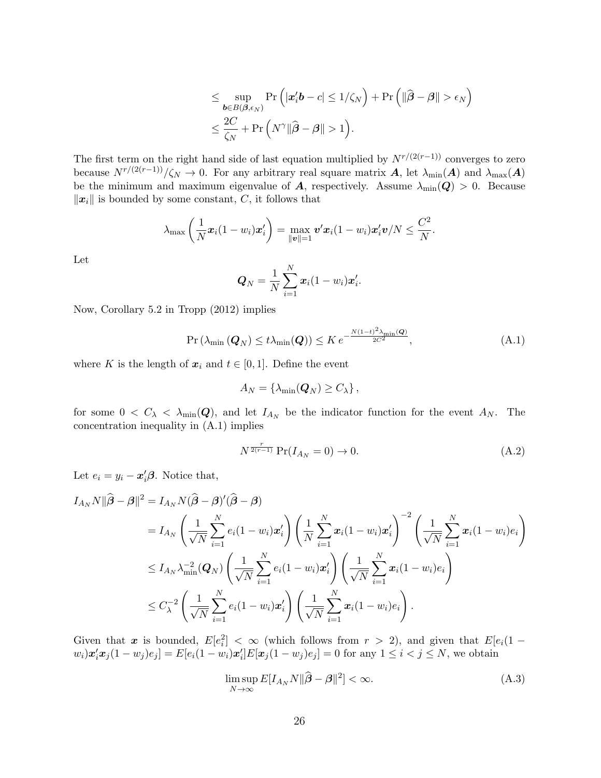$$
\leq \sup_{\boldsymbol{b}\in B(\boldsymbol{\beta},\epsilon_N)} \Pr\left(|\boldsymbol{x}_i'\boldsymbol{b}-c|\leq 1/\zeta_N\right)+\Pr\left(\|\widehat{\boldsymbol{\beta}}-\boldsymbol{\beta}\|>\epsilon_N\right) \leq \frac{2C}{\zeta_N}+\Pr\left(N^{\gamma}\|\widehat{\boldsymbol{\beta}}-\boldsymbol{\beta}\|>1\right).
$$

The first term on the right hand side of last equation multiplied by  $N^{r/(2(r-1))}$  converges to zero because  $N^{r/(2(r-1))/\zeta_N} \to 0$ . For any arbitrary real square matrix **A**, let  $\lambda_{\min}(A)$  and  $\lambda_{\max}(A)$ be the minimum and maximum eigenvalue of A, respectively. Assume  $\lambda_{\min}(Q) > 0$ . Because  $\|\boldsymbol{x}_i\|$  is bounded by some constant, C, it follows that

$$
\lambda_{\max}\left(\frac{1}{N}\boldsymbol{x}_i(1-w_i)\boldsymbol{x}_i'\right)=\max_{\|\boldsymbol{v}\|=1}\boldsymbol{v}'\boldsymbol{x}_i(1-w_i)\boldsymbol{x}_i'\boldsymbol{v}/N\leq\frac{C^2}{N}.
$$

Let

$$
\mathbf{Q}_N = \frac{1}{N} \sum_{i=1}^N \mathbf{x}_i (1 - w_i) \mathbf{x}'_i.
$$

Now, Corollary 5.2 in Tropp (2012) implies

$$
\Pr\left(\lambda_{\min}\left(\boldsymbol{Q}_{N}\right) \leq t\lambda_{\min}(\boldsymbol{Q})\right) \leq K \, e^{-\frac{N(1-t)^{2}\lambda_{\min}(\boldsymbol{Q})}{2C^{2}}},\tag{A.1}
$$

where K is the length of  $x_i$  and  $t \in [0,1]$ . Define the event

$$
A_N = \{ \lambda_{\min}(\mathbf{Q}_N) \ge C_{\lambda} \},
$$

for some  $0 < C_{\lambda} < \lambda_{\min}(\mathbf{Q})$ , and let  $I_{A_N}$  be the indicator function for the event  $A_N$ . The concentration inequality in (A.1) implies

$$
N^{\frac{r}{2(r-1)}} \Pr(I_{A_N} = 0) \to 0. \tag{A.2}
$$

Let  $e_i = y_i - \boldsymbol{x}_i' \boldsymbol{\beta}$ . Notice that,

$$
I_{A_N}N\|\widehat{\boldsymbol{\beta}}-\boldsymbol{\beta}\|^2 = I_{A_N}N(\widehat{\boldsymbol{\beta}}-\boldsymbol{\beta})'(\widehat{\boldsymbol{\beta}}-\boldsymbol{\beta})
$$
  
\n
$$
= I_{A_N}\left(\frac{1}{\sqrt{N}}\sum_{i=1}^N e_i(1-w_i)\boldsymbol{x}_i'\right)\left(\frac{1}{N}\sum_{i=1}^N\boldsymbol{x}_i(1-w_i)\boldsymbol{x}_i'\right)^{-2}\left(\frac{1}{\sqrt{N}}\sum_{i=1}^N\boldsymbol{x}_i(1-w_i)e_i\right)
$$
  
\n
$$
\leq I_{A_N}\lambda_{\min}^{-2}(\boldsymbol{Q}_N)\left(\frac{1}{\sqrt{N}}\sum_{i=1}^N e_i(1-w_i)\boldsymbol{x}_i'\right)\left(\frac{1}{\sqrt{N}}\sum_{i=1}^N\boldsymbol{x}_i(1-w_i)e_i\right)
$$
  
\n
$$
\leq C_{\lambda}^{-2}\left(\frac{1}{\sqrt{N}}\sum_{i=1}^N e_i(1-w_i)\boldsymbol{x}_i'\right)\left(\frac{1}{\sqrt{N}}\sum_{i=1}^N\boldsymbol{x}_i(1-w_i)e_i\right).
$$

Given that x is bounded,  $E[e_i^2] < \infty$  (which follows from  $r > 2$ ), and given that  $E[e_i(1$  $w_i) x_i' x_j (1 - w_j) e_j] = E[e_i(1 - w_i)x_i'] E[x_j(1 - w_j)e_j] = 0$  for any  $1 \le i < j \le N$ , we obtain

$$
\limsup_{N \to \infty} E[I_{A_N} N \|\hat{\boldsymbol{\beta}} - \boldsymbol{\beta}\|^2] < \infty. \tag{A.3}
$$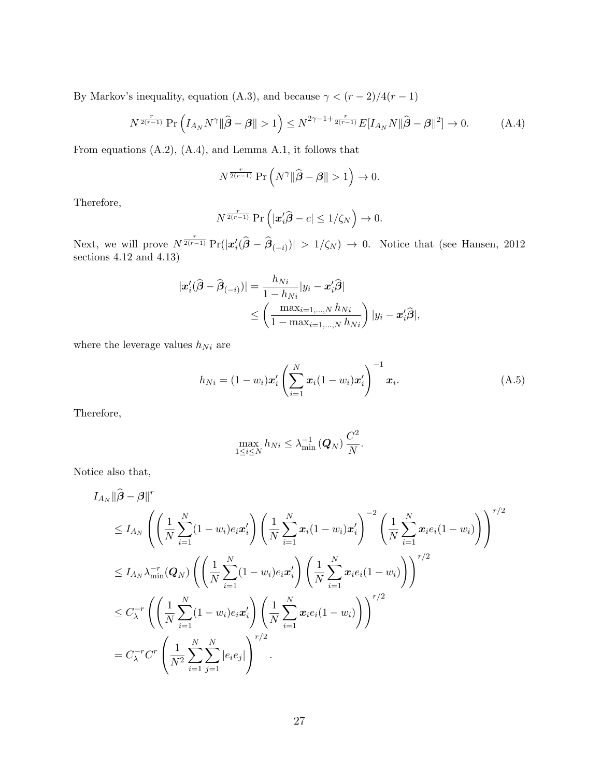By Markov's inequality, equation (A.3), and because  $\gamma < (r-2)/4(r-1)$ 

$$
N^{\frac{r}{2(r-1)}} \Pr\left(I_{A_N} N^{\gamma} \| \widehat{\boldsymbol{\beta}} - \boldsymbol{\beta} \| > 1\right) \le N^{2\gamma - 1 + \frac{r}{2(r-1)}} E[I_{A_N} N \| \widehat{\boldsymbol{\beta}} - \boldsymbol{\beta} \|^2] \to 0. \tag{A.4}
$$

From equations (A.2), (A.4), and Lemma A.1, it follows that

$$
N^{\frac{r}{2(r-1)}} \Pr \left( N^{\gamma} \| \widehat{\boldsymbol{\beta}} - \boldsymbol{\beta} \| > 1 \right) \rightarrow 0.
$$

Therefore,

$$
N^{\frac{r}{2(r-1)}} \Pr \left( \left| \boldsymbol{x}_i' \widehat{\boldsymbol{\beta}} - c \right| \leq 1/\zeta_N \right) \to 0.
$$

Next, we will prove  $N^{\frac{r}{2(r-1)}} \Pr(|x_i'(\hat{\beta} - \hat{\beta}_{(-i)})| > 1/\zeta_N) \to 0$ . Notice that (see Hansen, 2012 sections 4.12 and 4.13)

$$
|\mathbf{x}'_i(\widehat{\boldsymbol{\beta}} - \widehat{\boldsymbol{\beta}}_{(-i)})| = \frac{h_{Ni}}{1 - h_{Ni}} |y_i - \mathbf{x}'_i\widehat{\boldsymbol{\beta}}|
$$
  

$$
\leq \left(\frac{\max_{i=1,\dots,N} h_{Ni}}{1 - \max_{i=1,\dots,N} h_{Ni}}\right) |y_i - \mathbf{x}'_i\widehat{\boldsymbol{\beta}}|,
$$

where the leverage values  $h_{Ni}$  are

$$
h_{Ni} = (1 - w_i)x_i' \left(\sum_{i=1}^{N} x_i(1 - w_i)x_i'\right)^{-1} x_i.
$$
 (A.5)

Therefore,

$$
\max_{1 \le i \le N} h_{Ni} \le \lambda_{\min}^{-1} (Q_N) \frac{C^2}{N}.
$$

Notice also that,

$$
I_{A_N} \|\hat{\boldsymbol{\beta}} - \boldsymbol{\beta}\|^{r} \leq I_{A_N} \left( \left( \frac{1}{N} \sum_{i=1}^{N} (1 - w_i) e_i \boldsymbol{x}_i' \right) \left( \frac{1}{N} \sum_{i=1}^{N} \boldsymbol{x}_i (1 - w_i) \boldsymbol{x}_i' \right)^{-2} \left( \frac{1}{N} \sum_{i=1}^{N} \boldsymbol{x}_i e_i (1 - w_i) \right) \right)^{r/2} \n\leq I_{A_N} \lambda_{\min}^{-r} (\boldsymbol{Q}_N) \left( \left( \frac{1}{N} \sum_{i=1}^{N} (1 - w_i) e_i \boldsymbol{x}_i' \right) \left( \frac{1}{N} \sum_{i=1}^{N} \boldsymbol{x}_i e_i (1 - w_i) \right) \right)^{r/2} \n\leq C_{\lambda}^{-r} \left( \left( \frac{1}{N} \sum_{i=1}^{N} (1 - w_i) e_i \boldsymbol{x}_i' \right) \left( \frac{1}{N} \sum_{i=1}^{N} \boldsymbol{x}_i e_i (1 - w_i) \right) \right)^{r/2} \n= C_{\lambda}^{-r} C^{r} \left( \frac{1}{N^2} \sum_{i=1}^{N} \sum_{j=1}^{N} |e_i e_j| \right)^{r/2}.
$$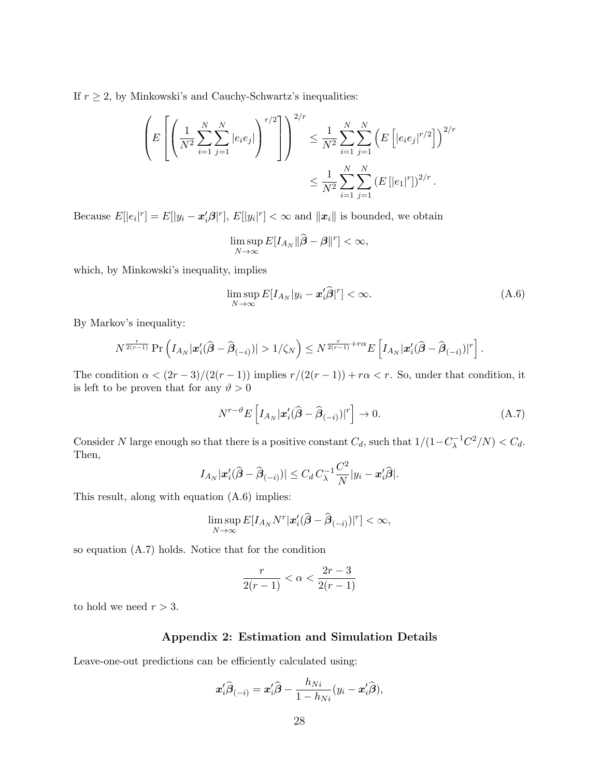If  $r \geq 2$ , by Minkowski's and Cauchy-Schwartz's inequalities:

$$
\left(E\left[\left(\frac{1}{N^2}\sum_{i=1}^N\sum_{j=1}^N|e_ie_j|\right)^{r/2}\right]\right)^{2/r} \leq \frac{1}{N^2}\sum_{i=1}^N\sum_{j=1}^N\left(E\left[|e_ie_j|^{r/2}\right]\right)^{2/r}
$$

$$
\leq \frac{1}{N^2}\sum_{i=1}^N\sum_{j=1}^N\left(E\left[|e_1|^r\right]\right)^{2/r}.
$$

Because  $E[|e_i|^r] = E[|y_i - x'_i\beta|^r], E[|y_i|^r] < \infty$  and  $||x_i||$  is bounded, we obtain

$$
\limsup_{N\to\infty} E[I_{A_N}\|\widehat{\boldsymbol{\beta}}-\boldsymbol{\beta}\|^{r}] < \infty,
$$

which, by Minkowski's inequality, implies

$$
\limsup_{N \to \infty} E[I_{A_N}|y_i - \mathbf{x}_i'\widehat{\boldsymbol{\beta}}]^r] < \infty. \tag{A.6}
$$

By Markov's inequality:

$$
N^{\frac{r}{2(r-1)}} \Pr \left( I_{A_N} |\mathbf{x}'_i(\widehat{\boldsymbol{\beta}} - \widehat{\boldsymbol{\beta}}_{(-i)})| > 1/\zeta_N \right) \leq N^{\frac{r}{2(r-1)} + r\alpha} E \left[ I_{A_N} |\mathbf{x}'_i(\widehat{\boldsymbol{\beta}} - \widehat{\boldsymbol{\beta}}_{(-i)})|^r \right].
$$

The condition  $\alpha < (2r-3)/(2(r-1))$  implies  $r/(2(r-1)) + r\alpha < r$ . So, under that condition, it is left to be proven that for any  $\vartheta > 0$ 

$$
N^{r-\vartheta}E\left[I_{A_N}|\mathbf{x}'_i(\widehat{\boldsymbol{\beta}}-\widehat{\boldsymbol{\beta}}_{(-i)})|^r\right] \to 0. \tag{A.7}
$$

Consider N large enough so that there is a positive constant  $C_d$ , such that  $1/(1-C_{\lambda}^{-1}C^2/N) < C_d$ . Then,

$$
I_{A_N}|\boldsymbol{x}'_i(\widehat{\boldsymbol{\beta}}-\widehat{\boldsymbol{\beta}}_{(-i)})| \leq C_d C_{\lambda}^{-1} \frac{C^2}{N} |y_i - \boldsymbol{x}'_i\widehat{\boldsymbol{\beta}}|.
$$

This result, along with equation (A.6) implies:

$$
\limsup_{N\to\infty} E[I_{A_N}N^r|\mathbf{x}'_i(\widehat{\boldsymbol{\beta}}-\widehat{\boldsymbol{\beta}}_{(-i)})|^r] < \infty,
$$

so equation (A.7) holds. Notice that for the condition

$$
\frac{r}{2(r-1)}<\alpha<\frac{2r-3}{2(r-1)}
$$

to hold we need  $r > 3$ .

#### Appendix 2: Estimation and Simulation Details

Leave-one-out predictions can be efficiently calculated using:

$$
\boldsymbol{x}_i'\widehat{\boldsymbol{\beta}}_{(-i)} = \boldsymbol{x}_i'\widehat{\boldsymbol{\beta}} - \frac{h_{Ni}}{1-h_{Ni}}(y_i-\boldsymbol{x}_i'\widehat{\boldsymbol{\beta}}),
$$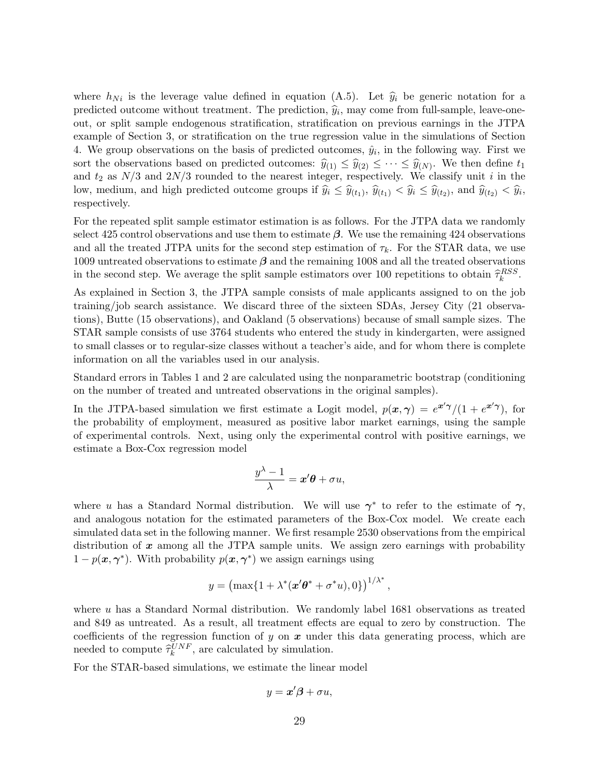where  $h_{Ni}$  is the leverage value defined in equation (A.5). Let  $\hat{y}_i$  be generic notation for a predicted outcome without treatment. The prediction,  $\hat{y}_i$ , may come from full-sample, leave-one-<br>out, or gulit cample orderspous stratification, stratification on previous campions in the JTDA out, or split sample endogenous stratification, stratification on previous earnings in the JTPA example of Section 3, or stratification on the true regression value in the simulations of Section 4. We group observations on the basis of predicted outcomes,  $\hat{y}_i$ , in the following way. First we sort the observations based on predicted outcomes:  $\hat{y}_{(1)} \leq \hat{y}_{(2)} \leq \cdots \leq \hat{y}_{(N)}$ . We then define  $t_1$ and  $t_2$  as  $N/3$  and  $2N/3$  rounded to the nearest integer, respectively. We classify unit i in the low, medium, and high predicted outcome groups if  $\hat{y}_i \leq \hat{y}_{(t_1)}$ ,  $\hat{y}_{(t_1)} < \hat{y}_i \leq \hat{y}_{(t_2)}$ , and  $\hat{y}_{(t_2)} < \hat{y}_i$ , respectively.

For the repeated split sample estimator estimation is as follows. For the JTPA data we randomly select 425 control observations and use them to estimate  $\beta$ . We use the remaining 424 observations and all the treated JTPA units for the second step estimation of  $\tau_k$ . For the STAR data, we use 1009 untreated observations to estimate  $\beta$  and the remaining 1008 and all the treated observations in the second step. We average the split sample estimators over 100 repetitions to obtain  $\hat{\tau}_k^{RSS}$ .

As explained in Section 3, the JTPA sample consists of male applicants assigned to on the job training/job search assistance. We discard three of the sixteen SDAs, Jersey City (21 observations), Butte (15 observations), and Oakland (5 observations) because of small sample sizes. The STAR sample consists of use 3764 students who entered the study in kindergarten, were assigned to small classes or to regular-size classes without a teacher's aide, and for whom there is complete information on all the variables used in our analysis.

Standard errors in Tables 1 and 2 are calculated using the nonparametric bootstrap (conditioning on the number of treated and untreated observations in the original samples).

In the JTPA-based simulation we first estimate a Logit model,  $p(x, \gamma) = e^{x' \gamma}/(1 + e^{x' \gamma})$ , for the probability of employment, measured as positive labor market earnings, using the sample of experimental controls. Next, using only the experimental control with positive earnings, we estimate a Box-Cox regression model

$$
\frac{y^{\lambda}-1}{\lambda} = \boldsymbol{x}'\boldsymbol{\theta} + \sigma u,
$$

where u has a Standard Normal distribution. We will use  $\gamma^*$  to refer to the estimate of  $\gamma$ , and analogous notation for the estimated parameters of the Box-Cox model. We create each simulated data set in the following manner. We first resample 2530 observations from the empirical distribution of  $x$  among all the JTPA sample units. We assign zero earnings with probability  $1 - p(\boldsymbol{x}, \boldsymbol{\gamma}^*)$ . With probability  $p(\boldsymbol{x}, \boldsymbol{\gamma}^*)$  we assign earnings using

$$
y = \left(\max\{1 + \lambda^*(\mathbf{x}'\boldsymbol{\theta}^* + \sigma^*u), 0\}\right)^{1/\lambda^*},
$$

where  $u$  has a Standard Normal distribution. We randomly label 1681 observations as treated and 849 as untreated. As a result, all treatment effects are equal to zero by construction. The coefficients of the regression function of y on  $x$  under this data generating process, which are needed to compute  $\hat{\tau}_k^{UNF}$ , are calculated by simulation.

For the STAR-based simulations, we estimate the linear model

$$
y = x'\beta + \sigma u,
$$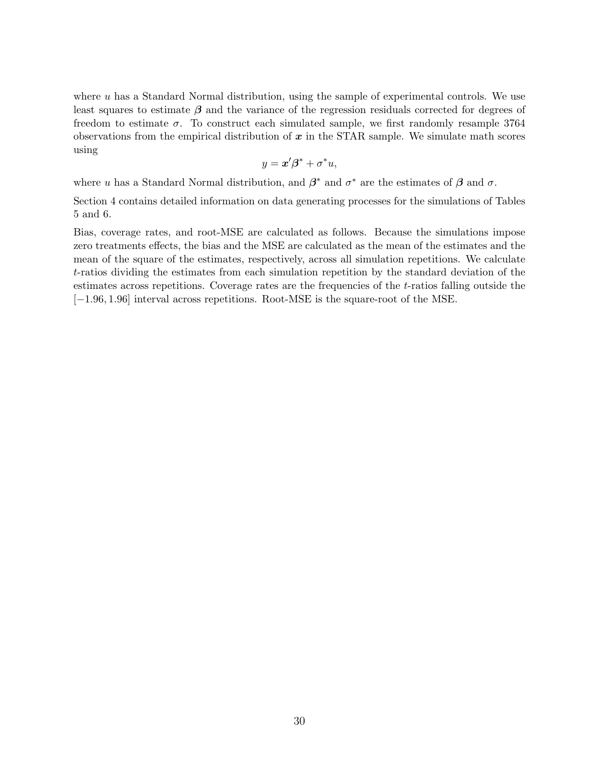where  $u$  has a Standard Normal distribution, using the sample of experimental controls. We use least squares to estimate  $\beta$  and the variance of the regression residuals corrected for degrees of freedom to estimate  $\sigma$ . To construct each simulated sample, we first randomly resample 3764 observations from the empirical distribution of  $x$  in the STAR sample. We simulate math scores using

$$
y = \boldsymbol{x}'\boldsymbol{\beta}^* + \sigma^* u,
$$

where u has a Standard Normal distribution, and  $\beta^*$  and  $\sigma^*$  are the estimates of  $\beta$  and  $\sigma$ .

Section 4 contains detailed information on data generating processes for the simulations of Tables 5 and 6.

Bias, coverage rates, and root-MSE are calculated as follows. Because the simulations impose zero treatments effects, the bias and the MSE are calculated as the mean of the estimates and the mean of the square of the estimates, respectively, across all simulation repetitions. We calculate t-ratios dividing the estimates from each simulation repetition by the standard deviation of the estimates across repetitions. Coverage rates are the frequencies of the t-ratios falling outside the [−1.96, 1.96] interval across repetitions. Root-MSE is the square-root of the MSE.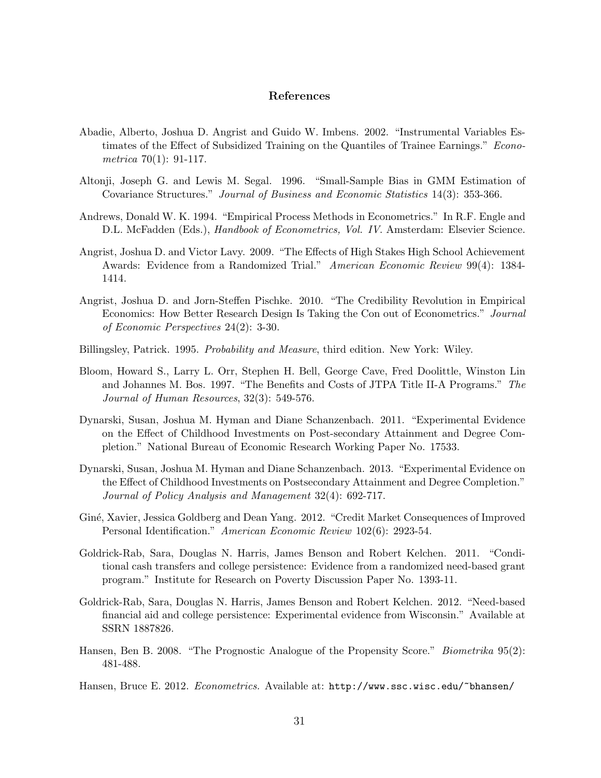## References

- Abadie, Alberto, Joshua D. Angrist and Guido W. Imbens. 2002. "Instrumental Variables Estimates of the Effect of Subsidized Training on the Quantiles of Trainee Earnings." Econometrica 70(1): 91-117.
- Altonji, Joseph G. and Lewis M. Segal. 1996. "Small-Sample Bias in GMM Estimation of Covariance Structures." Journal of Business and Economic Statistics 14(3): 353-366.
- Andrews, Donald W. K. 1994. "Empirical Process Methods in Econometrics." In R.F. Engle and D.L. McFadden (Eds.), *Handbook of Econometrics, Vol. IV.* Amsterdam: Elsevier Science.
- Angrist, Joshua D. and Victor Lavy. 2009. "The Effects of High Stakes High School Achievement Awards: Evidence from a Randomized Trial." American Economic Review 99(4): 1384- 1414.
- Angrist, Joshua D. and Jorn-Steffen Pischke. 2010. "The Credibility Revolution in Empirical Economics: How Better Research Design Is Taking the Con out of Econometrics." Journal of Economic Perspectives 24(2): 3-30.
- Billingsley, Patrick. 1995. Probability and Measure, third edition. New York: Wiley.
- Bloom, Howard S., Larry L. Orr, Stephen H. Bell, George Cave, Fred Doolittle, Winston Lin and Johannes M. Bos. 1997. "The Benefits and Costs of JTPA Title II-A Programs." The Journal of Human Resources, 32(3): 549-576.
- Dynarski, Susan, Joshua M. Hyman and Diane Schanzenbach. 2011. "Experimental Evidence on the Effect of Childhood Investments on Post-secondary Attainment and Degree Completion." National Bureau of Economic Research Working Paper No. 17533.
- Dynarski, Susan, Joshua M. Hyman and Diane Schanzenbach. 2013. "Experimental Evidence on the Effect of Childhood Investments on Postsecondary Attainment and Degree Completion." Journal of Policy Analysis and Management 32(4): 692-717.
- Giné, Xavier, Jessica Goldberg and Dean Yang. 2012. "Credit Market Consequences of Improved Personal Identification." American Economic Review 102(6): 2923-54.
- Goldrick-Rab, Sara, Douglas N. Harris, James Benson and Robert Kelchen. 2011. "Conditional cash transfers and college persistence: Evidence from a randomized need-based grant program." Institute for Research on Poverty Discussion Paper No. 1393-11.
- Goldrick-Rab, Sara, Douglas N. Harris, James Benson and Robert Kelchen. 2012. "Need-based financial aid and college persistence: Experimental evidence from Wisconsin." Available at SSRN 1887826.
- Hansen, Ben B. 2008. "The Prognostic Analogue of the Propensity Score." *Biometrika* 95(2): 481-488.
- Hansen, Bruce E. 2012. *Econometrics*. Available at: http://www.ssc.wisc.edu/~bhansen/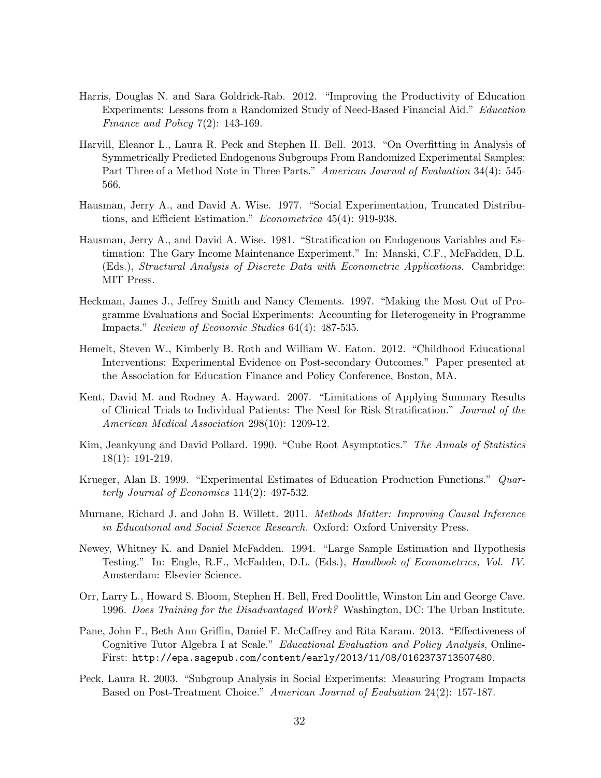- Harris, Douglas N. and Sara Goldrick-Rab. 2012. "Improving the Productivity of Education Experiments: Lessons from a Randomized Study of Need-Based Financial Aid." Education Finance and Policy  $7(2)$ : 143-169.
- Harvill, Eleanor L., Laura R. Peck and Stephen H. Bell. 2013. "On Overfitting in Analysis of Symmetrically Predicted Endogenous Subgroups From Randomized Experimental Samples: Part Three of a Method Note in Three Parts." American Journal of Evaluation 34(4): 545-566.
- Hausman, Jerry A., and David A. Wise. 1977. "Social Experimentation, Truncated Distributions, and Efficient Estimation." Econometrica 45(4): 919-938.
- Hausman, Jerry A., and David A. Wise. 1981. "Stratification on Endogenous Variables and Estimation: The Gary Income Maintenance Experiment." In: Manski, C.F., McFadden, D.L. (Eds.), Structural Analysis of Discrete Data with Econometric Applications. Cambridge: MIT Press.
- Heckman, James J., Jeffrey Smith and Nancy Clements. 1997. "Making the Most Out of Programme Evaluations and Social Experiments: Accounting for Heterogeneity in Programme Impacts." Review of Economic Studies 64(4): 487-535.
- Hemelt, Steven W., Kimberly B. Roth and William W. Eaton. 2012. "Childhood Educational Interventions: Experimental Evidence on Post-secondary Outcomes." Paper presented at the Association for Education Finance and Policy Conference, Boston, MA.
- Kent, David M. and Rodney A. Hayward. 2007. "Limitations of Applying Summary Results of Clinical Trials to Individual Patients: The Need for Risk Stratification." Journal of the American Medical Association 298(10): 1209-12.
- Kim, Jeankyung and David Pollard. 1990. "Cube Root Asymptotics." The Annals of Statistics 18(1): 191-219.
- Krueger, Alan B. 1999. "Experimental Estimates of Education Production Functions." Quarterly Journal of Economics 114(2): 497-532.
- Murnane, Richard J. and John B. Willett. 2011. Methods Matter: Improving Causal Inference in Educational and Social Science Research. Oxford: Oxford University Press.
- Newey, Whitney K. and Daniel McFadden. 1994. "Large Sample Estimation and Hypothesis Testing." In: Engle, R.F., McFadden, D.L. (Eds.), *Handbook of Econometrics, Vol. IV.* Amsterdam: Elsevier Science.
- Orr, Larry L., Howard S. Bloom, Stephen H. Bell, Fred Doolittle, Winston Lin and George Cave. 1996. Does Training for the Disadvantaged Work? Washington, DC: The Urban Institute.
- Pane, John F., Beth Ann Griffin, Daniel F. McCaffrey and Rita Karam. 2013. "Effectiveness of Cognitive Tutor Algebra I at Scale." Educational Evaluation and Policy Analysis, Online-First: http://epa.sagepub.com/content/early/2013/11/08/0162373713507480.
- Peck, Laura R. 2003. "Subgroup Analysis in Social Experiments: Measuring Program Impacts Based on Post-Treatment Choice." American Journal of Evaluation 24(2): 157-187.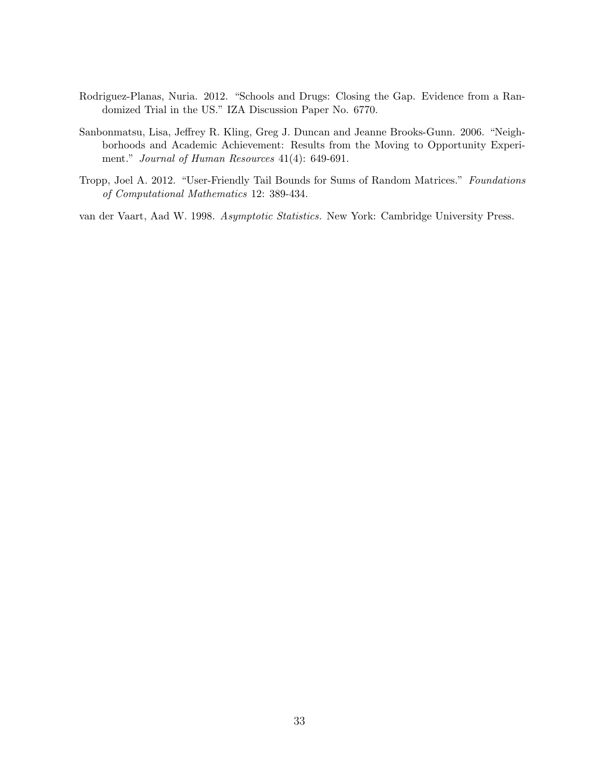- Rodriguez-Planas, Nuria. 2012. "Schools and Drugs: Closing the Gap. Evidence from a Randomized Trial in the US." IZA Discussion Paper No. 6770.
- Sanbonmatsu, Lisa, Jeffrey R. Kling, Greg J. Duncan and Jeanne Brooks-Gunn. 2006. "Neighborhoods and Academic Achievement: Results from the Moving to Opportunity Experiment." Journal of Human Resources 41(4): 649-691.
- Tropp, Joel A. 2012. "User-Friendly Tail Bounds for Sums of Random Matrices." Foundations of Computational Mathematics 12: 389-434.

van der Vaart, Aad W. 1998. Asymptotic Statistics. New York: Cambridge University Press.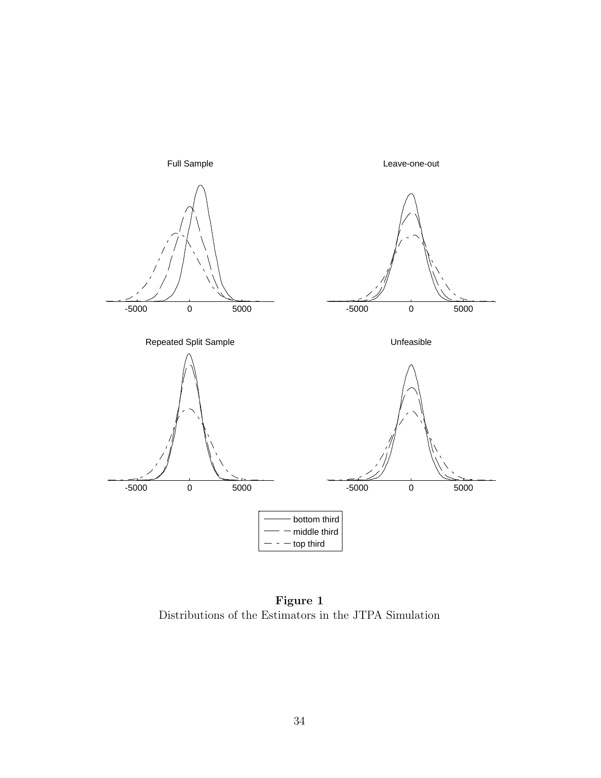

Figure 1 Distributions of the Estimators in the JTPA Simulation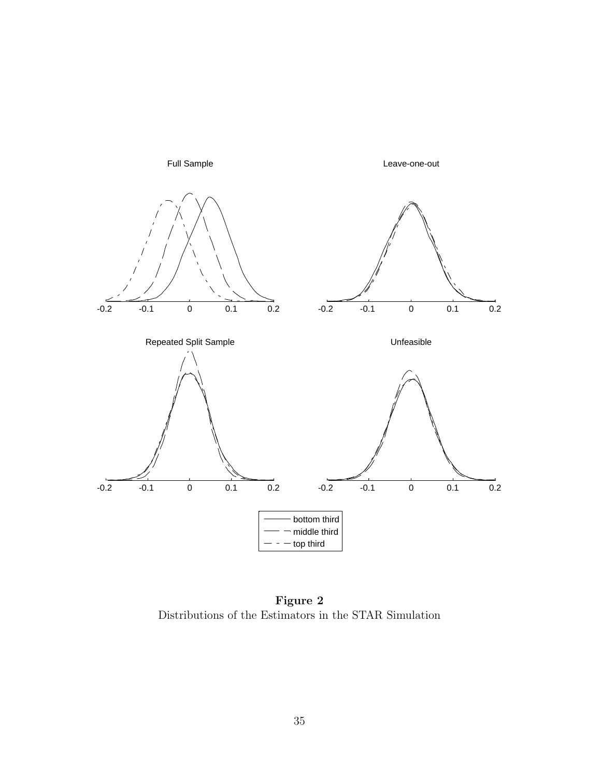

Figure 2 Distributions of the Estimators in the STAR Simulation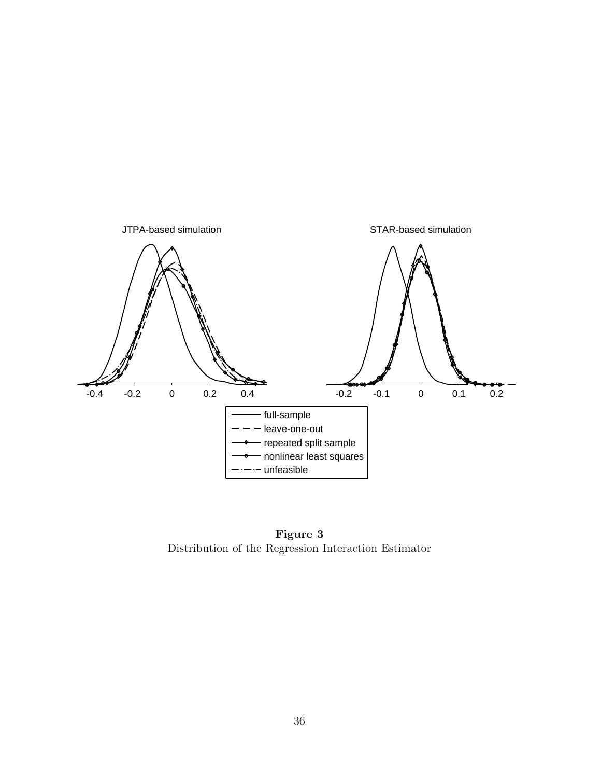

Figure 3 Distribution of the Regression Interaction Estimator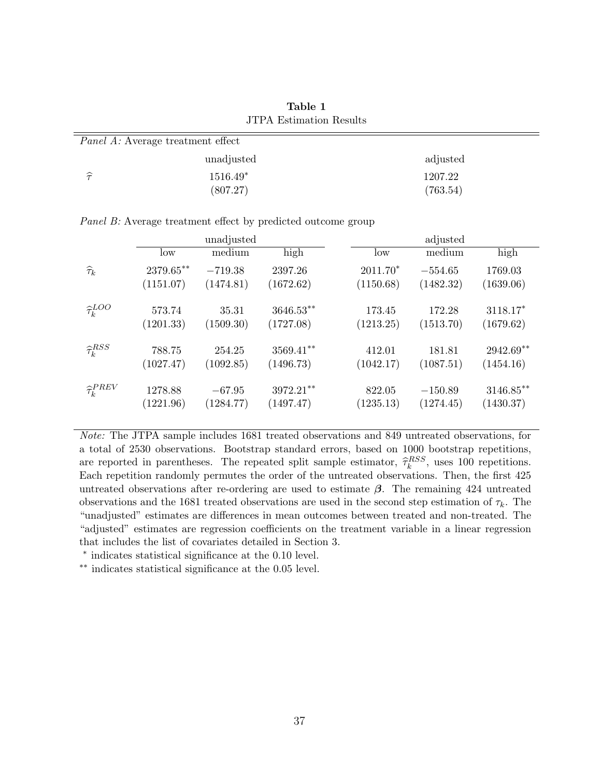| <u>JELA ESTIMATIVII RESURS</u> |                                          |          |  |  |  |  |  |  |  |  |
|--------------------------------|------------------------------------------|----------|--|--|--|--|--|--|--|--|
|                                | <i>Panel A:</i> Average treatment effect |          |  |  |  |  |  |  |  |  |
|                                | unadjusted                               | adjusted |  |  |  |  |  |  |  |  |
| $\widehat{\tau}$               | $1516.49*$                               | 1207.22  |  |  |  |  |  |  |  |  |
|                                | (807.27)                                 | (763.54) |  |  |  |  |  |  |  |  |

Table 1 JTPA Estimation Results

Panel B: Average treatment effect by predicted outcome group

|                            |           | unadjusted |              | adjusted   |           |             |  |  |  |  |  |  |
|----------------------------|-----------|------------|--------------|------------|-----------|-------------|--|--|--|--|--|--|
|                            | low       | medium     | high         | low        | medium    | high        |  |  |  |  |  |  |
| $\widehat{\tau}_k$         | 2379.65** | $-719.38$  | 2397.26      | $2011.70*$ | $-554.65$ | 1769.03     |  |  |  |  |  |  |
|                            | (1151.07) | (1474.81)  | (1672.62)    | (1150.68)  | (1482.32) | (1639.06)   |  |  |  |  |  |  |
| $\hat{\tau}_{k}^{LOO}$     | 573.74    | 35.31      | $3646.53**$  | 173.45     | 172.28    | $3118.17*$  |  |  |  |  |  |  |
|                            | (1201.33) | (1509.30)  | (1727.08)    | (1213.25)  | (1513.70) | (1679.62)   |  |  |  |  |  |  |
| $\widehat{\tau}_{k}^{RSS}$ | 788.75    | 254.25     | $3569.41***$ | 412.01     | 181.81    | $2942.69**$ |  |  |  |  |  |  |
|                            | (1027.47) | (1092.85)  | (1496.73)    | (1042.17)  | (1087.51) | (1454.16)   |  |  |  |  |  |  |
| $\hat{\tau}_{k}^{PREV}$    | 1278.88   | $-67.95$   | $3972.21**$  | 822.05     | $-150.89$ | $3146.85**$ |  |  |  |  |  |  |
|                            | (1221.96) | (1284.77)  | (1497.47)    | (1235.13)  | (1274.45) | (1430.37)   |  |  |  |  |  |  |

Note: The JTPA sample includes 1681 treated observations and 849 untreated observations, for a total of 2530 observations. Bootstrap standard errors, based on 1000 bootstrap repetitions, are reported in parentheses. The repeated split sample estimator,  $\hat{\tau}_k^{RSS}$ , uses 100 repetitions.<br>Regh repetition reproduced the order of the untreated ebecaustions. Then, the first 425 Each repetition randomly permutes the order of the untreated observations. Then, the first 425 untreated observations after re-ordering are used to estimate  $\beta$ . The remaining 424 untreated observations and the 1681 treated observations are used in the second step estimation of  $\tau_k$ . The "unadjusted" estimates are differences in mean outcomes between treated and non-treated. The "adjusted" estimates are regression coefficients on the treatment variable in a linear regression that includes the list of covariates detailed in Section 3.

∗ indicates statistical significance at the 0.10 level.

∗∗ indicates statistical significance at the 0.05 level.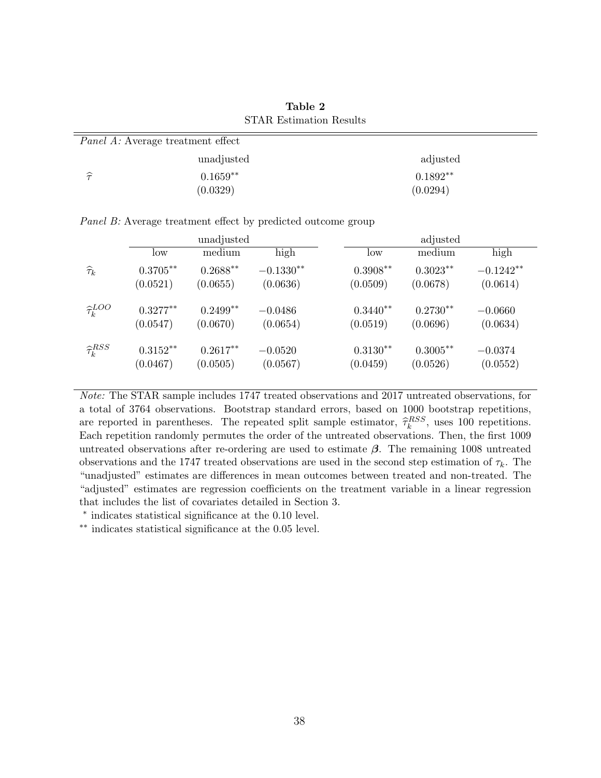| Table 2                        |  |
|--------------------------------|--|
| <b>STAR Estimation Results</b> |  |

| <i>Panel A:</i> Average treatment effect |            |            |  |  |  |  |  |  |
|------------------------------------------|------------|------------|--|--|--|--|--|--|
|                                          | unadjusted | adjusted   |  |  |  |  |  |  |
| $\widehat{\pi}$                          | $0.1659**$ | $0.1892**$ |  |  |  |  |  |  |
|                                          | (0.0329)   | (0.0294)   |  |  |  |  |  |  |

Panel B: Average treatment effect by predicted outcome group

|                            |             | unadjusted |             | adjusted   |             |             |  |  |  |  |  |
|----------------------------|-------------|------------|-------------|------------|-------------|-------------|--|--|--|--|--|
|                            | low         | medium     | high        | low        | medium      | high        |  |  |  |  |  |
| $\widehat{\tau}_{k}$       | $0.3705***$ | $0.2688**$ | $-0.1330**$ | $0.3908**$ | $0.3023**$  | $-0.1242**$ |  |  |  |  |  |
|                            | (0.0521)    | (0.0655)   | (0.0636)    | (0.0509)   | (0.0678)    | (0.0614)    |  |  |  |  |  |
| $\hat{\tau}_{k}^{LOO}$     | $0.3277**$  | $0.2499**$ | $-0.0486$   | $0.3440**$ | $0.2730**$  | $-0.0660$   |  |  |  |  |  |
|                            | (0.0547)    | (0.0670)   | (0.0654)    | (0.0519)   | (0.0696)    | (0.0634)    |  |  |  |  |  |
| $\widehat{\tau}_{k}^{RSS}$ | $0.3152**$  | $0.2617**$ | $-0.0520$   | $0.3130**$ | $0.3005***$ | $-0.0374$   |  |  |  |  |  |
|                            | (0.0467)    | (0.0505)   | (0.0567)    | (0.0459)   | (0.0526)    | (0.0552)    |  |  |  |  |  |

Note: The STAR sample includes 1747 treated observations and 2017 untreated observations, for a total of 3764 observations. Bootstrap standard errors, based on 1000 bootstrap repetitions, are reported in parentheses. The repeated split sample estimator,  $\hat{\tau}_k^{RSS}$ , uses 100 repetitions.<br>Resh repetition randomly permutes the order of the untreated ebecaustions. Then, the first 1000 Each repetition randomly permutes the order of the untreated observations. Then, the first 1009 untreated observations after re-ordering are used to estimate  $\beta$ . The remaining 1008 untreated observations and the 1747 treated observations are used in the second step estimation of  $\tau_k$ . The "unadjusted" estimates are differences in mean outcomes between treated and non-treated. The "adjusted" estimates are regression coefficients on the treatment variable in a linear regression that includes the list of covariates detailed in Section 3.

∗ indicates statistical significance at the 0.10 level.

∗∗ indicates statistical significance at the 0.05 level.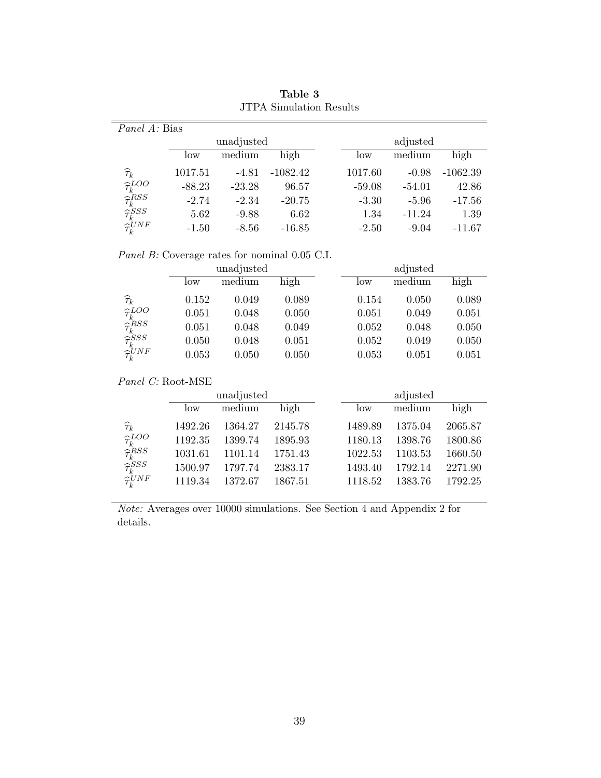| <i>Panel A:</i> Bias                                                                                                                            |          |            |            |          |          |            |  |  |  |  |
|-------------------------------------------------------------------------------------------------------------------------------------------------|----------|------------|------------|----------|----------|------------|--|--|--|--|
|                                                                                                                                                 |          | unadjusted |            | adjusted |          |            |  |  |  |  |
|                                                                                                                                                 | low      | medium     | high       | low      | medium   | high       |  |  |  |  |
| $\widehat{\tau}_{k}$                                                                                                                            | 1017.51  | $-4.81$    | $-1082.42$ | 1017.60  | $-0.98$  | $-1062.39$ |  |  |  |  |
|                                                                                                                                                 | $-88.23$ | $-23.28$   | 96.57      | $-59.08$ | $-54.01$ | 42.86      |  |  |  |  |
|                                                                                                                                                 | $-2.74$  | $-2.34$    | $-20.75$   | $-3.30$  | $-5.96$  | $-17.56$   |  |  |  |  |
|                                                                                                                                                 | 5.62     | $-9.88$    | 6.62       | 1.34     | $-11.24$ | 1.39       |  |  |  |  |
| $\begin{array}{l} \hat{\tau}^{LOO}_{k} \ \hat{\tau}^{RSS}_{k} \ \hat{\tau}^{ESS}_{k} \ \hat{\tau}^{SSS}_{k} \ \hat{\tau}^{UNF}_{k} \end{array}$ | $-1.50$  | $-8.56$    | $-16.85$   | $-2.50$  | $-9.04$  | $-11.67$   |  |  |  |  |
|                                                                                                                                                 |          |            |            |          |          |            |  |  |  |  |

Table 3 JTPA Simulation Results

Panel B: Coverage rates for nominal 0.05 C.I.

|                                                                                                                                                         |       | unadjusted |       | adjusted |        |       |  |  |  |  |
|---------------------------------------------------------------------------------------------------------------------------------------------------------|-------|------------|-------|----------|--------|-------|--|--|--|--|
|                                                                                                                                                         | low   | medium     | high  | low      | medium | high  |  |  |  |  |
| $\begin{array}{l} \widehat{\tau}_k \\ \widehat{\tau}_k^{LOO} \\ \widehat{\tau}_k^{RSS} \\ \widehat{\tau}_k^{SSS} \\ \widehat{\tau}_k^{UNF} \end{array}$ | 0.152 | 0.049      | 0.089 | 0.154    | 0.050  | 0.089 |  |  |  |  |
|                                                                                                                                                         | 0.051 | 0.048      | 0.050 | 0.051    | 0.049  | 0.051 |  |  |  |  |
|                                                                                                                                                         | 0.051 | 0.048      | 0.049 | 0.052    | 0.048  | 0.050 |  |  |  |  |
|                                                                                                                                                         | 0.050 | 0.048      | 0.051 | 0.052    | 0.049  | 0.050 |  |  |  |  |
|                                                                                                                                                         | 0.053 | 0.050      | 0.050 | 0.053    | 0.051  | 0.051 |  |  |  |  |

# Panel C: Root-MSE

|                                                                                                                                              |         | unadjusted |         | adjusted |         |         |  |  |  |
|----------------------------------------------------------------------------------------------------------------------------------------------|---------|------------|---------|----------|---------|---------|--|--|--|
|                                                                                                                                              | low     | medium     | high    | low      | medium  | high    |  |  |  |
| $\widehat{\tau}_{k}$                                                                                                                         | 1492.26 | 1364.27    | 2145.78 | 1489.89  | 1375.04 | 2065.87 |  |  |  |
| $\begin{array}{l} \hat{\tau}^{LOO}_{k}\ \hat{\tau}^{RSS}_{k}\ \hat{\tau}^{SSS}_{k}\ \hat{\tau}^{SSS}_{k}\ \hat{\tau}^{UNF}_{k}\ \end{array}$ | 1192.35 | 1399.74    | 1895.93 | 1180.13  | 1398.76 | 1800.86 |  |  |  |
|                                                                                                                                              | 1031.61 | 1101.14    | 1751.43 | 1022.53  | 1103.53 | 1660.50 |  |  |  |
|                                                                                                                                              | 1500.97 | 1797.74    | 2383.17 | 1493.40  | 1792.14 | 2271.90 |  |  |  |
|                                                                                                                                              | 1119.34 | 1372.67    | 1867.51 | 1118.52  | 1383.76 | 1792.25 |  |  |  |

Note: Averages over 10000 simulations. See Section 4 and Appendix 2 for details.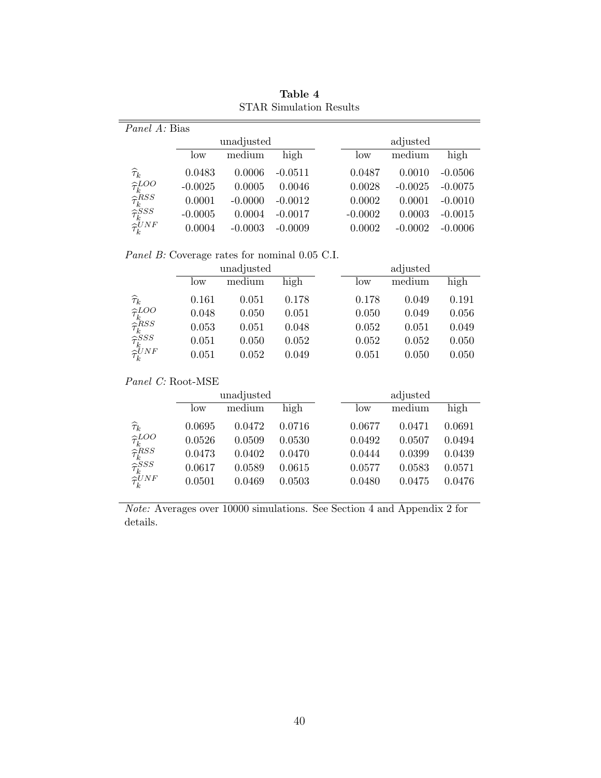| <i>Panel A:</i> Bias                                                                                                                                                  |           |            |           |           |           |           |  |  |  |  |
|-----------------------------------------------------------------------------------------------------------------------------------------------------------------------|-----------|------------|-----------|-----------|-----------|-----------|--|--|--|--|
|                                                                                                                                                                       |           | unadjusted |           | adjusted  |           |           |  |  |  |  |
|                                                                                                                                                                       | low       | medium     | high      | low       | medium    | high      |  |  |  |  |
| $\widehat{\tau}_{k}$                                                                                                                                                  | 0.0483    | 0.0006     | $-0.0511$ | 0.0487    | 0.0010    | $-0.0506$ |  |  |  |  |
|                                                                                                                                                                       | $-0.0025$ | 0.0005     | 0.0046    | 0.0028    | $-0.0025$ | $-0.0075$ |  |  |  |  |
|                                                                                                                                                                       | 0.0001    | $-0.0000$  | $-0.0012$ | 0.0002    | 0.0001    | $-0.0010$ |  |  |  |  |
|                                                                                                                                                                       | $-0.0005$ | 0.0004     | $-0.0017$ | $-0.0002$ | 0.0003    | $-0.0015$ |  |  |  |  |
| $\begin{array}{l} \widetilde{\tau}^{LOO}_{k} \ \widehat{\tau}^{RSS}_{k} \ \widehat{\tau}^{SSS}_{k} \ \widehat{\tau}^{SSS}_{k} \ \widehat{\tau}^{UNF}_{k} \end{array}$ | 0.0004    | $-0.0003$  | $-0.0009$ | 0.0002    | $-0.0002$ | $-0.0006$ |  |  |  |  |

Table 4 STAR Simulation Results

Panel B: Coverage rates for nominal 0.05 C.I.

|                                                                                                                                                         |       | unadjusted |       | adjusted |        |       |  |  |  |  |
|---------------------------------------------------------------------------------------------------------------------------------------------------------|-------|------------|-------|----------|--------|-------|--|--|--|--|
|                                                                                                                                                         | low   | medium     | high  | low      | medium | high  |  |  |  |  |
| $\begin{array}{l} \widehat{\tau}_k \\ \widehat{\tau}_k^{LOO} \\ \widehat{\tau}_k^{RSS} \\ \widehat{\tau}_k^{SSS} \\ \widehat{\tau}_k^{UNF} \end{array}$ | 0.161 | 0.051      | 0.178 | 0.178    | 0.049  | 0.191 |  |  |  |  |
|                                                                                                                                                         | 0.048 | 0.050      | 0.051 | 0.050    | 0.049  | 0.056 |  |  |  |  |
|                                                                                                                                                         | 0.053 | 0.051      | 0.048 | 0.052    | 0.051  | 0.049 |  |  |  |  |
|                                                                                                                                                         | 0.051 | 0.050      | 0.052 | 0.052    | 0.052  | 0.050 |  |  |  |  |
|                                                                                                                                                         | 0.051 | 0.052      | 0.049 | 0.051    | 0.050  | 0.050 |  |  |  |  |

Panel C: Root-MSE

|                                                                                                                                                 |        | unadjusted |        |        | adjusted |        |
|-------------------------------------------------------------------------------------------------------------------------------------------------|--------|------------|--------|--------|----------|--------|
|                                                                                                                                                 | low    | medium     | high   | low    | medium   | high   |
| $\widehat{\tau}_{k}$                                                                                                                            | 0.0695 | 0.0472     | 0.0716 | 0.0677 | 0.0471   | 0.0691 |
|                                                                                                                                                 | 0.0526 | 0.0509     | 0.0530 | 0.0492 | 0.0507   | 0.0494 |
| $\begin{array}{l} \hat{\tau}^{LOO}_{k} \ \hat{\tau}^{RSS}_{k} \ \hat{\tau}^{SSS}_{k} \ \hat{\tau}^{SSS}_{k} \ \hat{\tau}^{UNF}_{k} \end{array}$ | 0.0473 | 0.0402     | 0.0470 | 0.0444 | 0.0399   | 0.0439 |
|                                                                                                                                                 | 0.0617 | 0.0589     | 0.0615 | 0.0577 | 0.0583   | 0.0571 |
|                                                                                                                                                 | 0.0501 | 0.0469     | 0.0503 | 0.0480 | 0.0475   | 0.0476 |

Note: Averages over 10000 simulations. See Section 4 and Appendix 2 for details.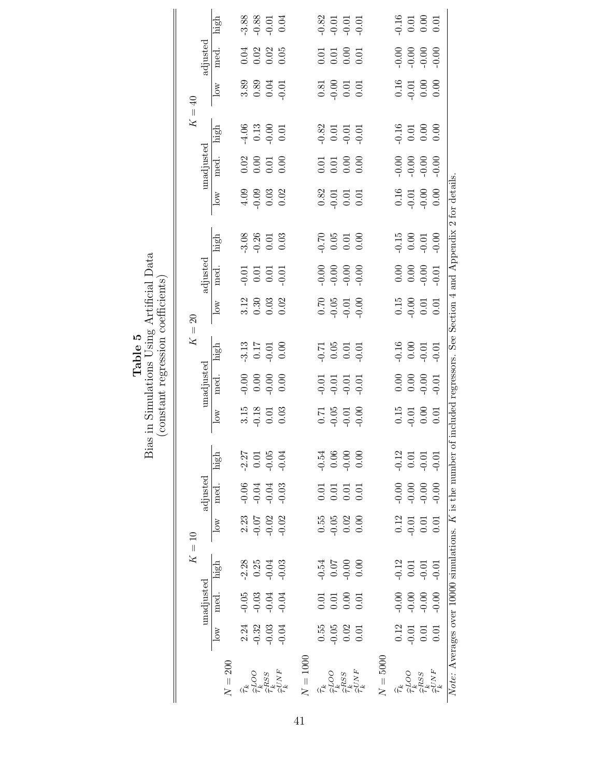|                                                                                            |          |                                                     | high                    |                            | $3.88$<br>$-0.83$<br>$-0.01$<br>$0.04$  |                                                                                                                                                                 |            |                                                             |                                       | $-0.82$<br>$-0.01$<br>$-0.01$<br>$-0.01$                    |                                                                           |          |                                                             | $-0.16$<br>0.01<br>0.00<br>0.00                                                     |                          |                                                                   |
|--------------------------------------------------------------------------------------------|----------|-----------------------------------------------------|-------------------------|----------------------------|-----------------------------------------|-----------------------------------------------------------------------------------------------------------------------------------------------------------------|------------|-------------------------------------------------------------|---------------------------------------|-------------------------------------------------------------|---------------------------------------------------------------------------|----------|-------------------------------------------------------------|-------------------------------------------------------------------------------------|--------------------------|-------------------------------------------------------------------|
|                                                                                            |          | adjusted                                            | med.                    |                            | $0.04$<br>$0.02$<br>$0.05$<br>$0.05$    |                                                                                                                                                                 |            |                                                             |                                       | $\begin{array}{c} 0.01 \\ 0.01 \\ 0.00 \\ 0.01 \end{array}$ |                                                                           |          |                                                             |                                                                                     |                          |                                                                   |
|                                                                                            |          | $\overline{\text{low}}$                             |                         | $3.89$<br>$0.30$<br>$0.01$ |                                         |                                                                                                                                                                 |            |                                                             | $0.81$<br>$0.001$<br>$0.01$<br>$0.01$ |                                                             |                                                                           |          | $\begin{array}{l} 0.16 \\ 0.01 \\ 0.00 \\ 0.00 \end{array}$ |                                                                                     |                          |                                                                   |
|                                                                                            | $K = 40$ |                                                     | high                    |                            | $-4.06$<br>0.13<br>0.00<br>0.01         |                                                                                                                                                                 |            |                                                             |                                       | $0.82$<br>$0.01$<br>$0.01$<br>$0.01$<br>$0.01$              |                                                                           |          |                                                             | $0.16$<br>$0.01$<br>$0.00$<br>$0.00$                                                |                          |                                                                   |
|                                                                                            |          | $\mathop{\rm unadjusted}\nolimits$                  | med.                    |                            | $0.02$<br>$0.01$<br>$0.00$              |                                                                                                                                                                 |            |                                                             |                                       | $\begin{array}{c} 0.01 \\ 0.00 \\ 0.00 \end{array}$         |                                                                           |          |                                                             |                                                                                     |                          |                                                                   |
|                                                                                            |          |                                                     | $\log$                  |                            | $4.09$<br>$-0.03$<br>$-0.02$            |                                                                                                                                                                 |            | $\begin{array}{c} 0.82 \\ 0.01 \\ 0.01 \\ 0.01 \end{array}$ |                                       |                                                             |                                                                           |          |                                                             | $0.16$<br>$0.01$<br>$0.00$<br>$0.00$                                                |                          |                                                                   |
|                                                                                            |          |                                                     | high                    |                            | $3.36$<br>$9.35$<br>$0.03$              |                                                                                                                                                                 |            | $0.70$<br>$0.05$<br>$0.01$<br>$0.00$                        |                                       |                                                             |                                                                           |          |                                                             | $-0.00$<br>0.00<br>0.00<br>0.00                                                     |                          | of included regressors. See Section 4 and Appendix 2 for details. |
|                                                                                            |          | adjusted                                            | med.                    |                            |                                         |                                                                                                                                                                 |            |                                                             |                                       |                                                             |                                                                           |          |                                                             |                                                                                     |                          |                                                                   |
|                                                                                            | $\Omega$ |                                                     | $\overline{\text{low}}$ |                            | $3.12$<br>$0.30$<br>$0.03$<br>$0.02$    |                                                                                                                                                                 |            |                                                             |                                       | $0.70$<br>$-0.05$<br>$-0.01$<br>$-0.00$                     |                                                                           |          |                                                             | $\begin{array}{c} 0.15 \\ 0.00 \\ 0.01 \\ 0.01 \end{array}$                         |                          |                                                                   |
| Bias in Simulations Using Artificial Data<br>(constant regression coefficients)<br>Table 5 | $K =$    |                                                     | high                    |                            | $-3.13$<br>$-0.17$<br>$-0.01$<br>$0.00$ |                                                                                                                                                                 |            | $\begin{array}{c} 0.71 \\ 0.05 \\ 0.01 \end{array}$         |                                       |                                                             | $-0.01$                                                                   |          |                                                             | $-0.16$<br>0.00<br>0.01                                                             | $-0.01$                  |                                                                   |
|                                                                                            |          | $\bm{{\rm unadjusted}}$                             | med.                    |                            |                                         |                                                                                                                                                                 |            |                                                             |                                       | $-0.01$<br>$-0.01$<br>$-0.01$<br>$-0.01$                    |                                                                           |          |                                                             |                                                                                     |                          |                                                                   |
|                                                                                            |          |                                                     | 10W                     |                            | $3.15$<br>0.18<br>0.01<br>0.03          |                                                                                                                                                                 |            |                                                             |                                       | $-0.05$<br>$-0.01$<br>$-0.01$<br>$-0.00$                    |                                                                           |          |                                                             | $\begin{array}{c} 0.15 \\ -0.01 \\ 0.00 \\ 0.01 \end{array}$                        |                          |                                                                   |
|                                                                                            |          |                                                     | high                    |                            | $-2.27$<br>$-0.05$<br>$-0.05$           |                                                                                                                                                                 |            | $0.54$<br>$0.06$<br>$0.06$<br>$0.06$                        |                                       |                                                             |                                                                           |          |                                                             | $0.12$<br>$0.01$<br>$0.01$<br>$0.01$                                                |                          |                                                                   |
|                                                                                            |          | adjusted                                            | med.                    |                            | $-0.06$<br>$-0.04$<br>$-0.03$           |                                                                                                                                                                 |            | $\begin{array}{c} 0.01 \\ 0.01 \\ 0.01 \\ 0.01 \end{array}$ |                                       |                                                             |                                                                           |          |                                                             | $-0.00$<br>$-0.00$                                                                  | $-0.00$                  |                                                                   |
|                                                                                            |          |                                                     | $\overline{\text{low}}$ |                            | $2.23$<br>$0.07$<br>$0.02$<br>$0.02$    |                                                                                                                                                                 |            | $0.55$<br>$0.05$<br>$0.02$<br>$0.00$                        |                                       |                                                             |                                                                           |          |                                                             | $\begin{array}{c} 0.12 \\ 0.01 \\ 0.01 \end{array}$                                 | 0.01                     |                                                                   |
|                                                                                            | $K=10$   |                                                     | high                    |                            | $2.28$<br>$0.25$<br>$0.04$<br>$0.03$    |                                                                                                                                                                 |            | $-0.54$<br>0.07<br>0.00<br>0.00                             |                                       |                                                             |                                                                           |          |                                                             | $-0.12$<br>$0.01$<br>$-0.01$                                                        | $-0.01$                  |                                                                   |
|                                                                                            |          | $\mathop{\mathrm{unad}}\nolimits_{\mathrm{justed}}$ | med.                    |                            | $0.05$<br>$0.03$<br>$0.04$<br>$0.04$    |                                                                                                                                                                 |            |                                                             |                                       | $0.01$<br>$0.00$<br>$0.01$                                  |                                                                           |          |                                                             |                                                                                     |                          |                                                                   |
|                                                                                            |          |                                                     | $\overline{\text{C}}$   |                            | $2.24$<br>$-0.32$<br>$-0.03$            |                                                                                                                                                                 |            |                                                             |                                       | $0.55$<br>$-0.05$<br>$0.02$<br>$0.01$                       |                                                                           |          |                                                             | $\begin{array}{c} 0.12 \\ 0.01 \\ 0.01 \end{array}$                                 | 0.01                     |                                                                   |
|                                                                                            |          |                                                     | $N=200$                 | $\widehat{\tau}^k$         |                                         | $\begin{array}{l} {\displaystyle \widehat{\tau_{k}^{RSS}}} \\ {\displaystyle \widehat{\tau_{k}^{RSS}}} \\ {\displaystyle \widehat{\tau_{k}^{UNF}}} \end{array}$ | $N = 1000$ | $\widehat{\tau}^k$                                          | $\widehat{\tau}_{k}^{LOO}$            |                                                             | $\begin{array}{l}\hat{\tau}_{k}^{RSS}\\ \hat{\tau}_{k}^{UNF} \end{array}$ | $N=5000$ | $\widehat{\tau}_{k}$                                        | $\begin{array}{l} \widehat{\tau}^{LOO}_{k} \\ \widehat{\tau}^{RSS}_{k} \end{array}$ | $\widehat{\tau}_k^{UNF}$ | Note: Averages over 10000 simulations. K is the number            |

41